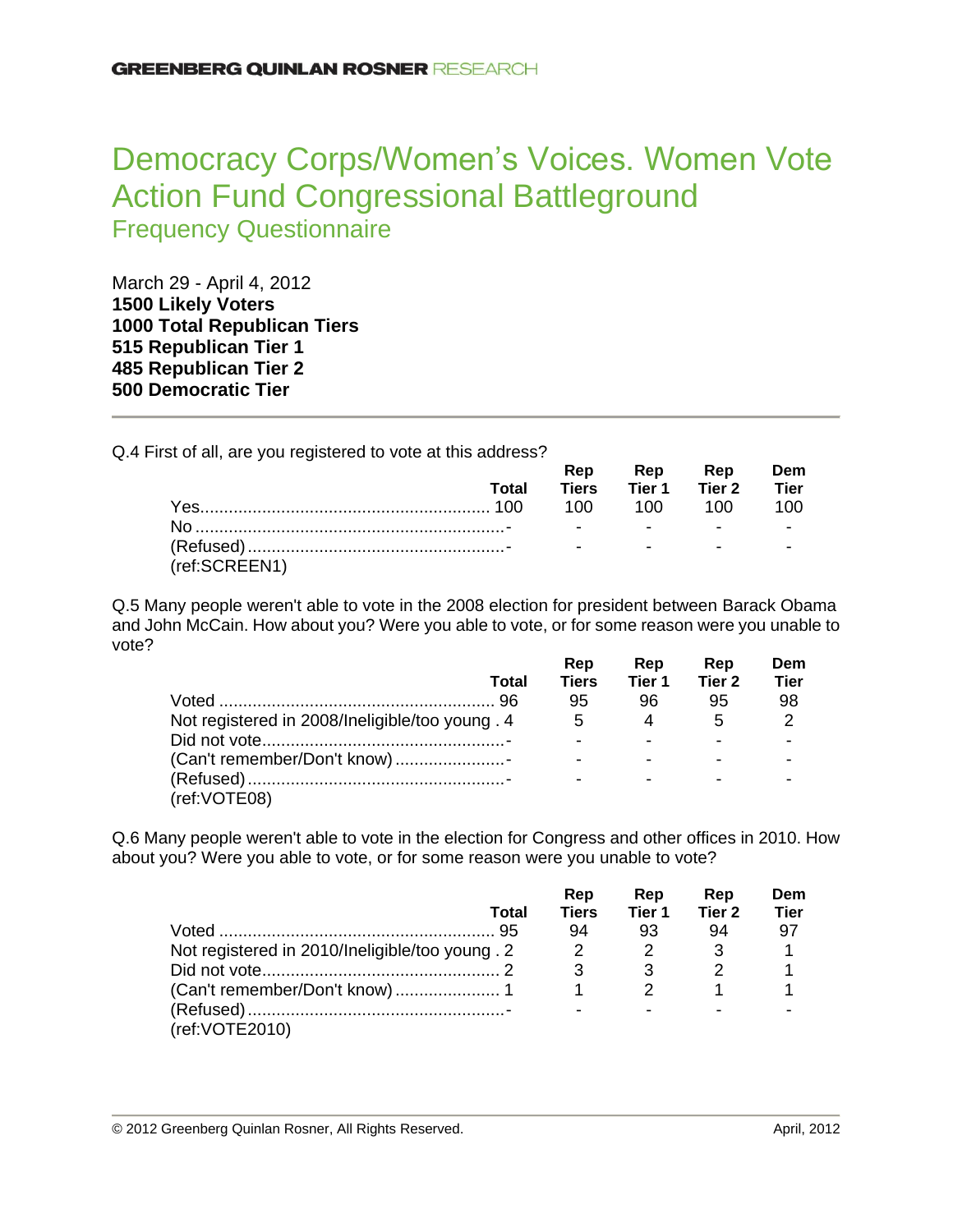# Democracy Corps/Women's Voices. Women Vote Action Fund Congressional Battleground Frequency Questionnaire

March 29 - April 4, 2012 **Likely Voters Total Republican Tiers Republican Tier 1 Republican Tier 2 Democratic Tier**

Q.4 First of all, are you registered to vote at this address?

|               |       |  | Rep Rep Rep Dem          |  |
|---------------|-------|--|--------------------------|--|
|               | Total |  | Tiers Tier 1 Tier 2 Tier |  |
|               |       |  |                          |  |
|               |       |  |                          |  |
|               |       |  |                          |  |
| (ref:SCREEN1) |       |  |                          |  |

Q.5 Many people weren't able to vote in the 2008 election for president between Barack Obama and John McCain. How about you? Were you able to vote, or for some reason were you unable to vote?

|                                                 |       | Rep          | Rep    | Rep    | Dem           |
|-------------------------------------------------|-------|--------------|--------|--------|---------------|
|                                                 | Total | <b>Tiers</b> | Tier 1 | Tier 2 | Tier          |
|                                                 |       | 95           | 96     | 95     | 98            |
| Not registered in 2008/Ineligible/too young . 4 |       | 5            | 4      | 5      | $\mathcal{P}$ |
|                                                 |       |              |        |        |               |
| (Can't remember/Don't know)                     |       |              |        |        |               |
|                                                 |       |              |        |        |               |
| (ref:VOTE08)                                    |       |              |        |        |               |

Q.6 Many people weren't able to vote in the election for Congress and other offices in 2010. How about you? Were you able to vote, or for some reason were you unable to vote?

|                                                 |       | Rep          | Rep    | Rep    | Dem         |
|-------------------------------------------------|-------|--------------|--------|--------|-------------|
|                                                 | Total | <b>Tiers</b> | Tier 1 | Tier 2 | <b>Tier</b> |
|                                                 |       | 94           | 93     | 94     | 97          |
| Not registered in 2010/Ineligible/too young . 2 |       | 2            |        |        |             |
|                                                 |       | 3            |        |        |             |
|                                                 |       |              |        |        |             |
|                                                 |       |              |        |        |             |
| (ref: VOTE 2010)                                |       |              |        |        |             |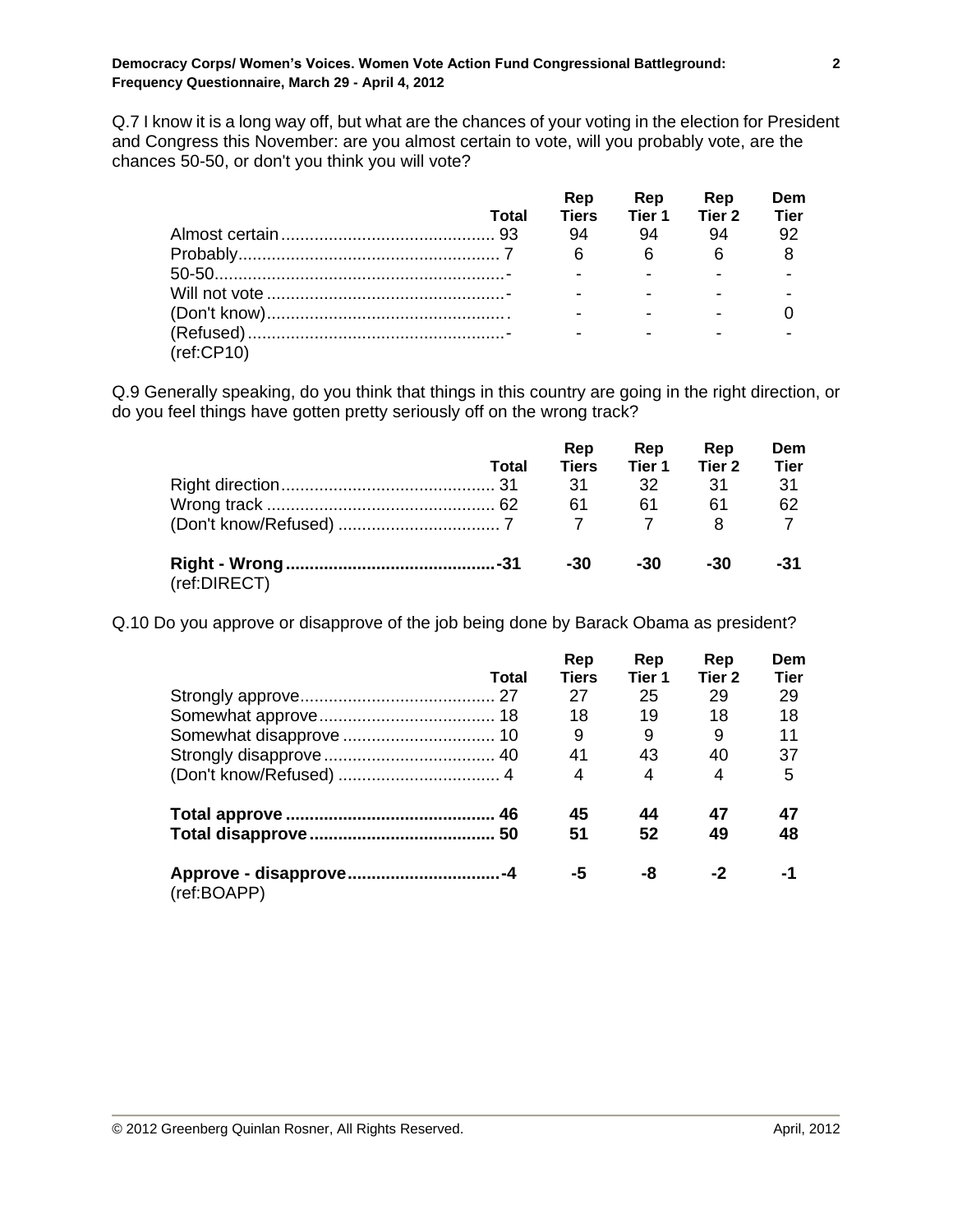Q.7 I know it is a long way off, but what are the chances of your voting in the election for President and Congress this November: are you almost certain to vote, will you probably vote, are the chances 50-50, or don't you think you will vote?

|            | <b>Total</b> | Rep<br><b>Tiers</b> | Rep<br>Tier 1 | Rep<br>Tier 2 | Dem<br><b>Tier</b> |
|------------|--------------|---------------------|---------------|---------------|--------------------|
|            |              | 94                  | 94            | 94            | 92                 |
|            |              | 6                   | 6             | - 6           |                    |
|            |              |                     |               |               |                    |
|            |              |                     |               |               |                    |
|            |              |                     |               |               |                    |
|            |              |                     |               | -             |                    |
| (ref:CP10) |              |                     |               |               |                    |

Q.9 Generally speaking, do you think that things in this country are going in the right direction, or do you feel things have gotten pretty seriously off on the wrong track?

|              | Total | Rep<br><b>Tiers</b><br>-31<br>61 | Rep<br>Tier 1<br>32<br>61 | Rep<br>Tier 2<br>.31<br>61 | Dem<br><b>Tier</b><br>-31<br>62 |
|--------------|-------|----------------------------------|---------------------------|----------------------------|---------------------------------|
| (ref:DIRECT) |       | -30                              | -30                       | -30                        | -31                             |

Q.10 Do you approve or disapprove of the job being done by Barack Obama as president?

|                                       | Total | Rep<br><b>Tiers</b> | Rep<br>Tier 1 | Rep<br>Tier <sub>2</sub> | Dem<br><b>Tier</b> |
|---------------------------------------|-------|---------------------|---------------|--------------------------|--------------------|
|                                       |       | 27                  | 25            | 29                       | 29                 |
|                                       |       | 18                  | 19            | 18                       | 18                 |
|                                       |       | 9                   | 9             | 9                        | 11                 |
|                                       |       | 41                  | 43            | 40                       | 37                 |
|                                       |       | 4                   | 4             | 4                        | 5                  |
|                                       |       | 45                  | 44            | 47                       | 47                 |
|                                       |       | 51                  | 52            | 49                       | 48                 |
| Approve - disapprove-4<br>(ref:BOAPP) |       | -5                  | -8            | -2                       | $-1$               |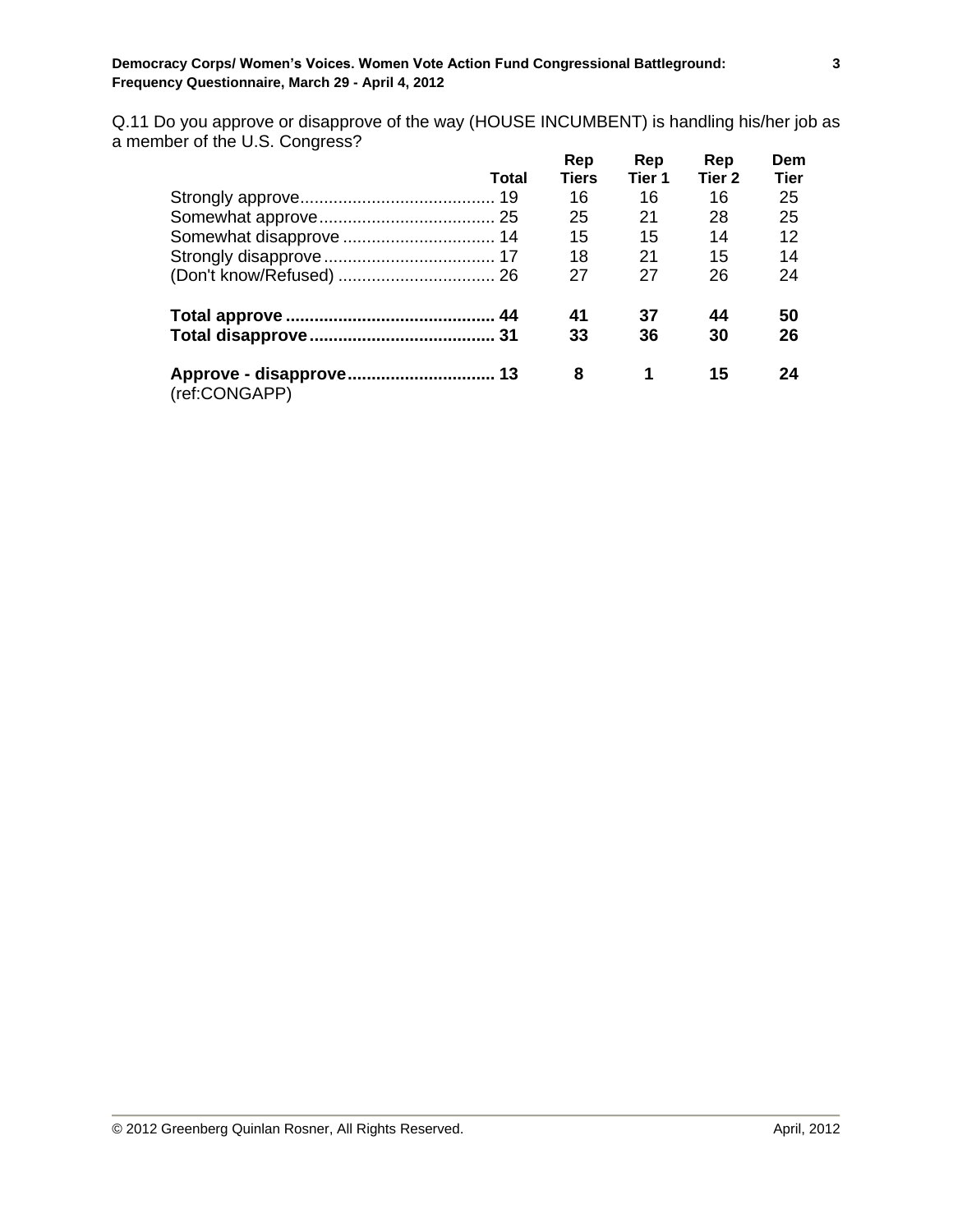Q.11 Do you approve or disapprove of the way (HOUSE INCUMBENT) is handling his/her job as a member of the U.S. Congress?

|               |       | Rep          | Rep    | Rep               | Dem         |
|---------------|-------|--------------|--------|-------------------|-------------|
|               | Total | <b>Tiers</b> | Tier 1 | Tier <sub>2</sub> | <b>Tier</b> |
|               |       | 16           | 16     | 16                | 25          |
|               |       | 25           | 21     | 28                | 25          |
|               |       | 15           | 15     | 14                | 12          |
|               |       | 18           | 21     | 15                | 14          |
|               |       | 27           | 27     | 26                | 24          |
|               |       | 41           | 37     | 44                | 50          |
|               |       | 33           | 36     | 30                | 26          |
| (ref:CONGAPP) |       | 8            | 1      | 15                | 24          |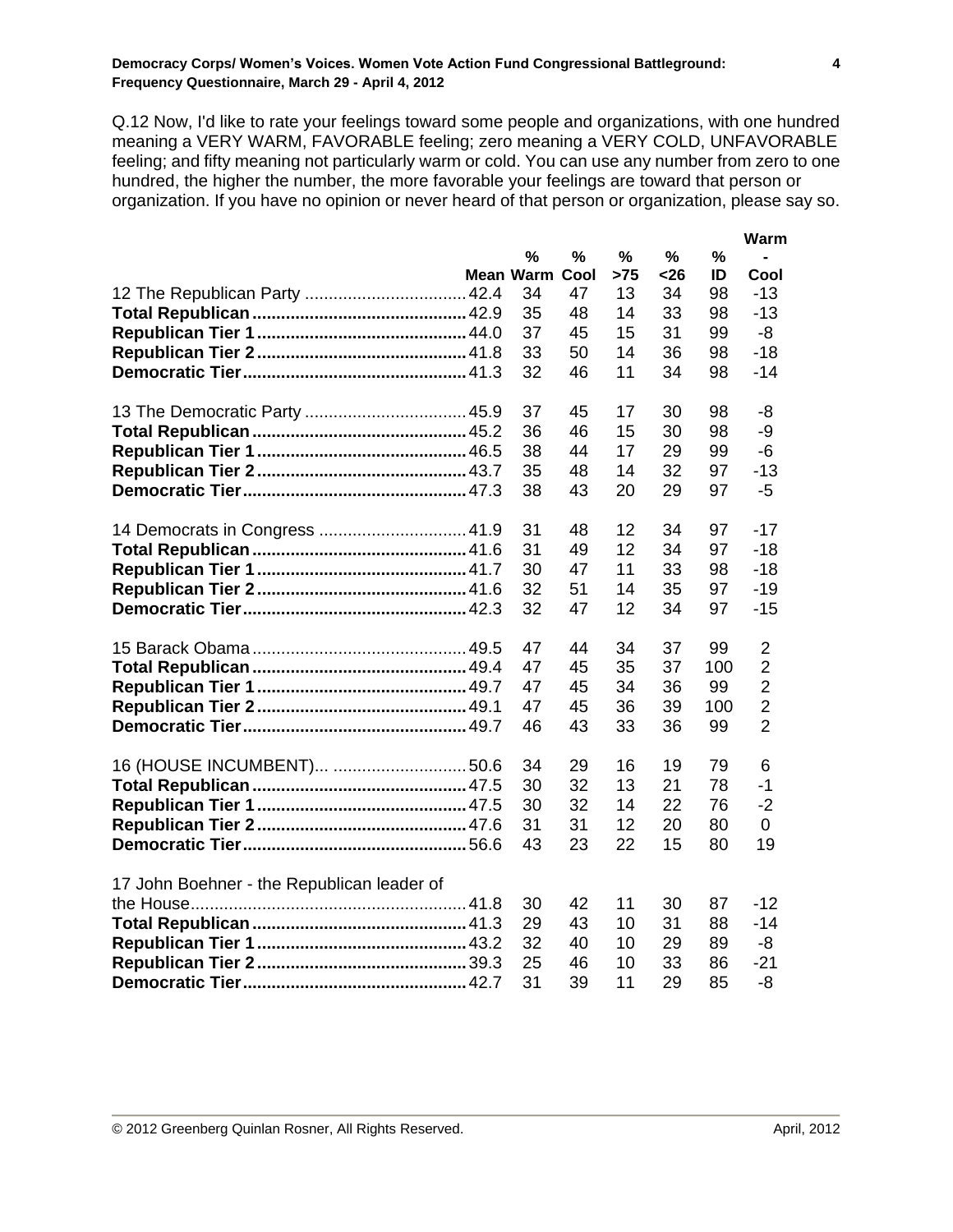Q.12 Now, I'd like to rate your feelings toward some people and organizations, with one hundred meaning a VERY WARM, FAVORABLE feeling; zero meaning a VERY COLD, UNFAVORABLE feeling; and fifty meaning not particularly warm or cold. You can use any number from zero to one hundred, the higher the number, the more favorable your feelings are toward that person or organization. If you have no opinion or never heard of that person or organization, please say so.

|                                            |           |      |      |      |     | Warm           |
|--------------------------------------------|-----------|------|------|------|-----|----------------|
|                                            | $\%$      | %    | $\%$ | $\%$ | %   |                |
|                                            | Mean Warm | Cool | >75  | <26  | ID  | Cool           |
|                                            | 34        | 47   | 13   | 34   | 98  | $-13$          |
|                                            | 35        | 48   | 14   | 33   | 98  | $-13$          |
|                                            | 37        | 45   | 15   | 31   | 99  | -8             |
|                                            | 33        | 50   | 14   | 36   | 98  | $-18$          |
|                                            | 32        | 46   | 11   | 34   | 98  | $-14$          |
|                                            | 37        | 45   | 17   | 30   | 98  | -8             |
|                                            | 36        | 46   | 15   | 30   | 98  | $-9$           |
|                                            | 38        | 44   | 17   | 29   | 99  | $-6$           |
|                                            | 35        | 48   | 14   | 32   | 97  | $-13$          |
|                                            | 38        | 43   | 20   | 29   | 97  | $-5$           |
| 14 Democrats in Congress  41.9             | 31        | 48   | 12   | 34   | 97  | $-17$          |
|                                            | 31        | 49   | 12   | 34   | 97  | $-18$          |
|                                            | 30        | 47   | 11   | 33   | 98  | $-18$          |
|                                            | 32        | 51   | 14   | 35   | 97  | $-19$          |
|                                            | 32        | 47   | 12   | 34   | 97  | $-15$          |
|                                            | 47        | 44   | 34   | 37   | 99  | $\overline{2}$ |
|                                            | 47        | 45   | 35   | 37   | 100 | $\overline{2}$ |
|                                            | 47        | 45   | 34   | 36   | 99  | $\overline{2}$ |
|                                            | 47        | 45   | 36   | 39   | 100 | $\overline{2}$ |
|                                            | 46        | 43   | 33   | 36   | 99  | $\overline{2}$ |
|                                            | 34        | 29   | 16   | 19   | 79  | 6              |
|                                            | 30        | 32   | 13   | 21   | 78  | $-1$           |
|                                            | 30        | 32   | 14   | 22   | 76  | $-2$           |
|                                            | 31        | 31   | 12   | 20   | 80  | 0              |
|                                            | 43        | 23   | 22   | 15   | 80  | 19             |
| 17 John Boehner - the Republican leader of |           |      |      |      |     |                |
|                                            | 30        | 42   | 11   | 30   | 87  | $-12$          |
|                                            | 29        | 43   | 10   | 31   | 88  | $-14$          |
|                                            | 32        | 40   | 10   | 29   | 89  | -8             |
|                                            | 25        | 46   | 10   | 33   | 86  | $-21$          |
|                                            | 31        | 39   | 11   | 29   | 85  | -8             |

**4**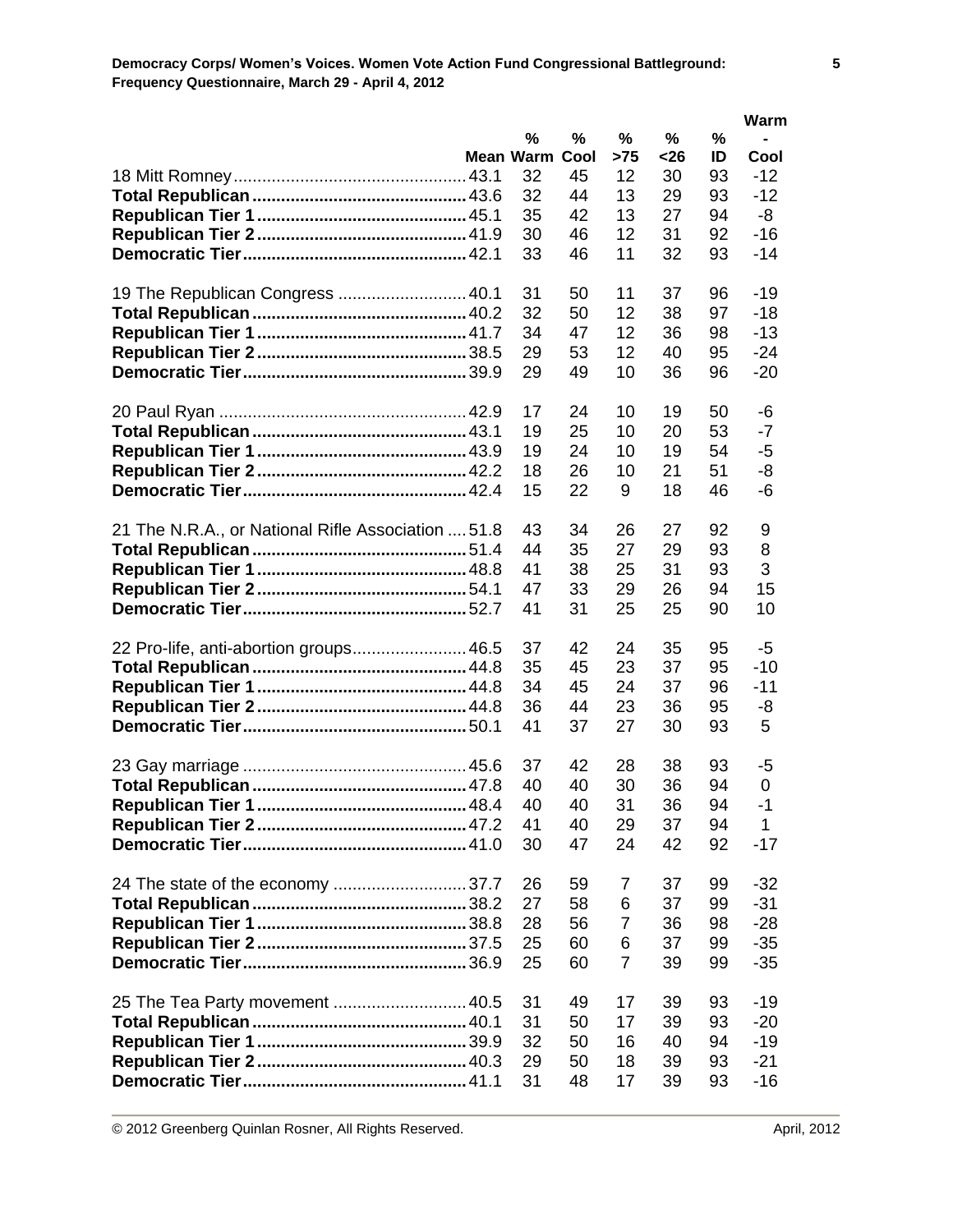|                                                    |                       |          |                   |          |          | Warm           |
|----------------------------------------------------|-----------------------|----------|-------------------|----------|----------|----------------|
|                                                    | %                     | %        | %                 | %        | $\%$     |                |
|                                                    | <b>Mean Warm Cool</b> |          | >75               | <26      | ID       | Cool           |
|                                                    | 32                    | 45       | $12 \overline{ }$ | 30       | 93       | $-12$          |
|                                                    | 32                    | 44       | 13                | 29       | 93       | $-12$          |
|                                                    | 35                    | 42       | 13<br>12          | 27       | 94       | -8             |
|                                                    | 30<br>33              | 46<br>46 | 11                | 31<br>32 | 92<br>93 | $-16$<br>$-14$ |
|                                                    |                       |          |                   |          |          |                |
| 19 The Republican Congress  40.1                   | 31                    | 50       | 11                | 37       | 96       | $-19$          |
|                                                    | 32                    | 50       | 12                | 38       | 97       | $-18$          |
|                                                    | 34                    | 47       | 12                | 36       | 98       | $-13$          |
|                                                    | 29                    | 53       | 12                | 40       | 95       | $-24$          |
|                                                    | 29                    | 49       | 10                | 36       | 96       | $-20$          |
|                                                    | 17                    | 24       | 10                | 19       | 50       | -6             |
|                                                    | 19                    | 25       | 10                | 20       | 53       | $-7$           |
|                                                    | 19                    | 24       | 10                | 19       | 54       | $-5$           |
|                                                    | 18                    | 26       | 10                | 21       | 51       | -8             |
|                                                    | 15                    | 22       | 9                 | 18       | 46       | -6             |
| 21 The N.R.A., or National Rifle Association  51.8 | 43                    | 34       | 26                | 27       | 92       | 9              |
|                                                    | 44                    | 35       | 27                | 29       | 93       | 8              |
|                                                    | 41                    | 38       | 25                | 31       | 93       | 3              |
|                                                    | 47                    | 33       | 29                | 26       | 94       | 15             |
|                                                    | 41                    | 31       | 25                | 25       | 90       | 10             |
| 22 Pro-life, anti-abortion groups 46.5             | 37                    | 42       | 24                | 35       | 95       | $-5$           |
|                                                    | 35                    | 45       | 23                | 37       | 95       | $-10$          |
|                                                    | 34                    | 45       | 24                | 37       | 96       | $-11$          |
|                                                    | 36                    | 44       | 23                | 36       | 95       | -8             |
|                                                    | 41                    | 37       | 27                | 30       | 93       | 5              |
|                                                    | 37                    | 42       | 28                | 38       | 93       | -5             |
|                                                    | 40                    | 40       | 30                | 36       | 94       | $\mathbf 0$    |
|                                                    | 40                    | 40       | 31                | 36       | 94       | $-1$           |
|                                                    | 41                    | 40       | 29                | 37       | 94       | 1              |
|                                                    | 30                    | 47       | 24                | 42       | 92       | $-17$          |
|                                                    | 26                    | 59       | 7                 | 37       | 99       | $-32$          |
|                                                    | 27                    | 58       | 6                 | 37       | 99       | $-31$          |
|                                                    | 28                    | 56       | $\overline{7}$    | 36       | 98       | $-28$          |
|                                                    | 25                    | 60       | 6                 | 37       | 99       | $-35$          |
|                                                    | 25                    | 60       | $\overline{7}$    | 39       | 99       | $-35$          |
| 25 The Tea Party movement  40.5                    | 31                    | 49       | 17                | 39       | 93       | $-19$          |
|                                                    | 31                    | 50       | 17                | 39       | 93       | $-20$          |
|                                                    | 32                    | 50       | 16                | 40       | 94       | $-19$          |
|                                                    | 29                    | 50       | 18                | 39       | 93       | $-21$          |
|                                                    | 31                    | 48       | 17                | 39       | 93       | $-16$          |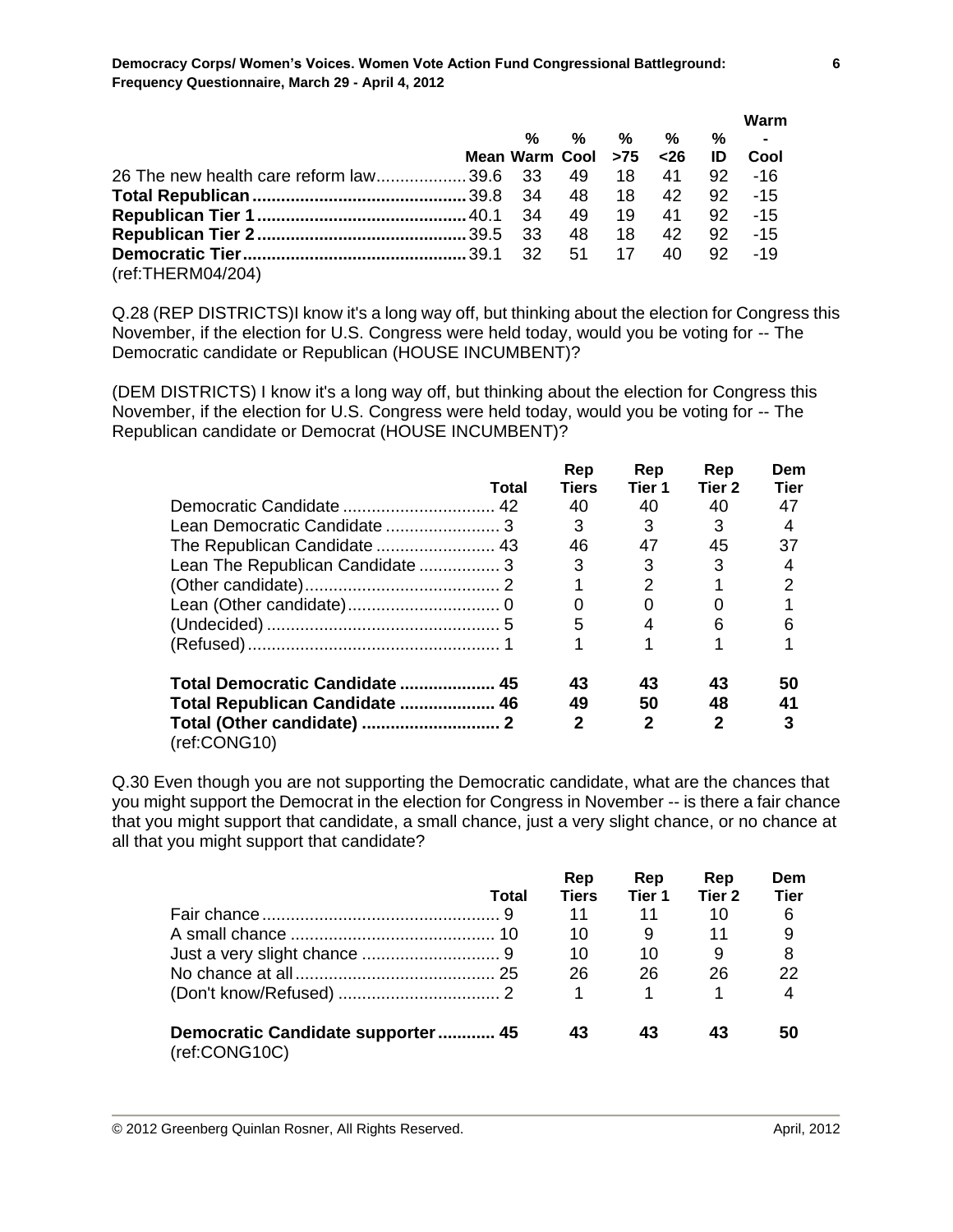|                                                          |                          |       |                 |    | Warm                    |
|----------------------------------------------------------|--------------------------|-------|-----------------|----|-------------------------|
|                                                          | $\%$                     |       | % % %           | %  | $\sim 100$ km s $^{-1}$ |
|                                                          | Mean Warm Cool $>75$ <26 |       |                 | ID | Cool                    |
| 26 The new health care reform law39.6 33 49 18 41 92 -16 |                          |       |                 |    |                         |
|                                                          |                          |       |                 |    |                         |
|                                                          |                          |       | 49 19 41 92 -15 |    |                         |
|                                                          |                          | 48 18 |                 |    | 42 92 -15               |
|                                                          |                          |       |                 |    | $-19$                   |
| (ref:THERMO4/204)                                        |                          |       |                 |    |                         |

Q.28 (REP DISTRICTS)I know it's a long way off, but thinking about the election for Congress this November, if the election for U.S. Congress were held today, would you be voting for -- The Democratic candidate or Republican (HOUSE INCUMBENT)?

(DEM DISTRICTS) I know it's a long way off, but thinking about the election for Congress this November, if the election for U.S. Congress were held today, would you be voting for -- The Republican candidate or Democrat (HOUSE INCUMBENT)?

|                                  |       | Rep          | Rep          | Rep               | Dem         |
|----------------------------------|-------|--------------|--------------|-------------------|-------------|
|                                  | Total | Tiers        | Tier 1       | Tier <sub>2</sub> | <b>Tier</b> |
|                                  |       | 40           | 40           | 40                | 47          |
|                                  |       | 3            | 3            | 3                 | 4           |
|                                  |       | 46           | 47           | 45                | 37          |
| Lean The Republican Candidate  3 |       | 3            | 3            | 3                 | 4           |
|                                  |       |              | 2            |                   | 2           |
|                                  |       | 0            | 0            |                   |             |
|                                  |       | 5            | 4            | 6                 | 6           |
|                                  |       |              | 1            |                   |             |
| Total Democratic Candidate  45   |       | 43           | 43           | 43                | 50          |
| Total Republican Candidate  46   |       | 49           | 50           | 48                | 41          |
| (ref:CONG10)                     |       | $\mathbf{2}$ | $\mathbf{2}$ | 2                 | 3           |

Q.30 Even though you are not supporting the Democratic candidate, what are the chances that you might support the Democrat in the election for Congress in November -- is there a fair chance that you might support that candidate, a small chance, just a very slight chance, or no chance at all that you might support that candidate?

|                                                    |       | Rep          | Rep    | Rep               | Dem  |
|----------------------------------------------------|-------|--------------|--------|-------------------|------|
|                                                    | Total | <b>Tiers</b> | Tier 1 | Tier <sub>2</sub> | Tier |
|                                                    |       | 11           | 11     | 10                | 6    |
|                                                    |       | 10           |        | 11                | 9    |
|                                                    |       | 10           | 10     | 9                 | 8    |
|                                                    |       | 26           | 26     | 26                | 22   |
|                                                    |       |              |        |                   |      |
| Democratic Candidate supporter 45<br>(ref:CONG10C) |       | 43           | 43     | 43                | 50   |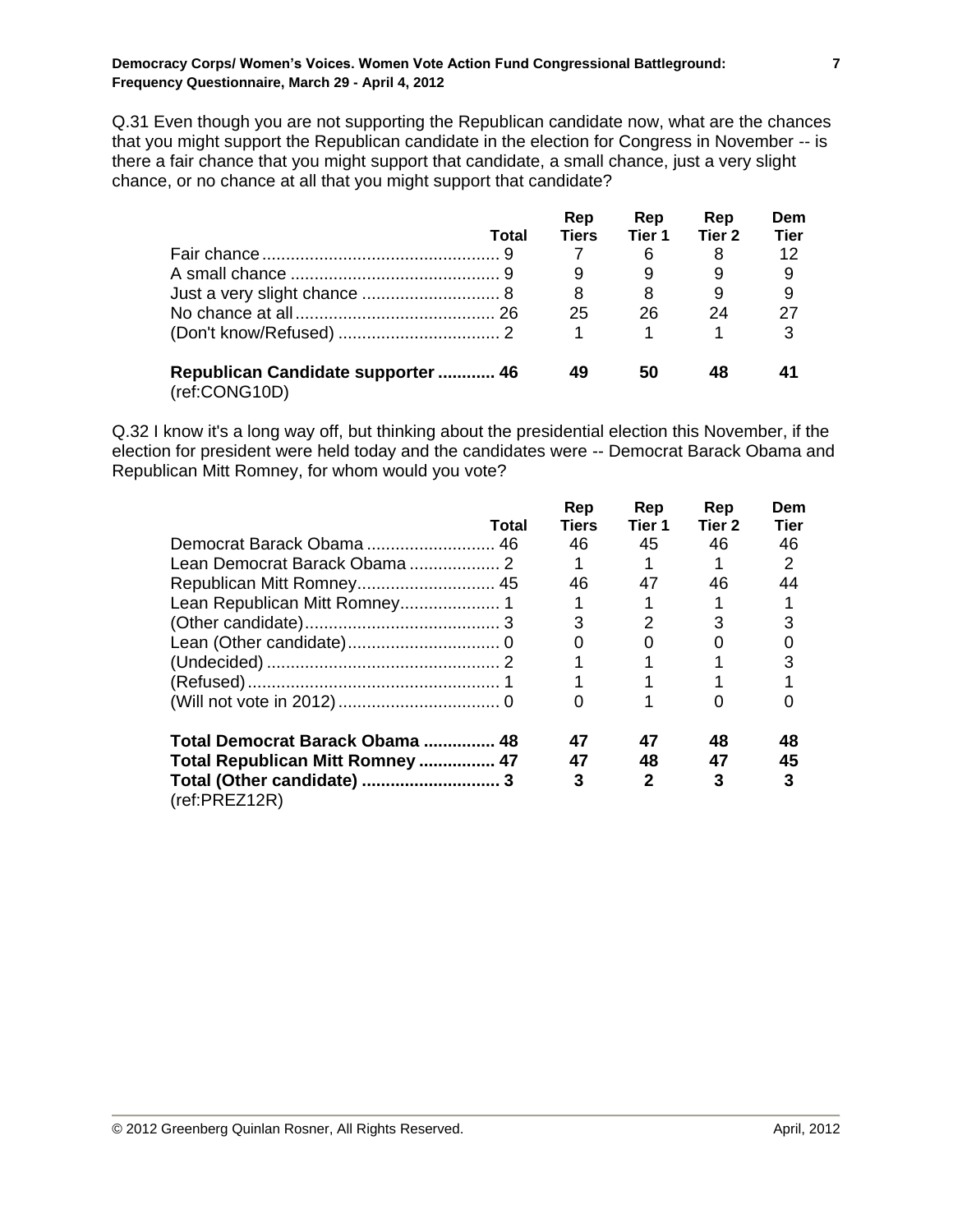Q.31 Even though you are not supporting the Republican candidate now, what are the chances that you might support the Republican candidate in the election for Congress in November -- is there a fair chance that you might support that candidate, a small chance, just a very slight chance, or no chance at all that you might support that candidate?

|                                                     | Total | Rep<br><b>Tiers</b> | Rep<br>Tier 1 | Rep<br>Tier 2 | Dem<br><b>Tier</b> |
|-----------------------------------------------------|-------|---------------------|---------------|---------------|--------------------|
|                                                     |       |                     | 6             | 8             | 12                 |
|                                                     |       |                     | 9             | 9             | 9                  |
|                                                     |       | 8                   | 8             | 9             | 9                  |
|                                                     |       | 25                  | 26            | 24            | 27                 |
|                                                     |       | 1                   |               |               | 3                  |
| Republican Candidate supporter  46<br>(ref:CONG10D) |       | 49                  | 50            | 48            |                    |

Q.32 I know it's a long way off, but thinking about the presidential election this November, if the election for president were held today and the candidates were -- Democrat Barack Obama and Republican Mitt Romney, for whom would you vote?

|                                  |       | Rep          | Rep           | Rep               | Dem           |
|----------------------------------|-------|--------------|---------------|-------------------|---------------|
|                                  | Total | <b>Tiers</b> | Tier 1        | Tier <sub>2</sub> | <b>Tier</b>   |
|                                  |       | 46           | 45            | 46                | 46            |
|                                  |       |              |               |                   | $\mathcal{P}$ |
|                                  |       | 46           | 47            | 46                | 44            |
|                                  |       |              |               |                   |               |
|                                  |       | 3            | $\mathcal{P}$ | 3                 |               |
|                                  |       | O            |               |                   |               |
|                                  |       |              |               |                   |               |
|                                  |       |              |               |                   |               |
|                                  |       |              |               |                   |               |
| Total Democrat Barack Obama  48  |       | 47           | 47            | 48                | 48            |
| Total Republican Mitt Romney  47 |       | 47           | 48            | 47                | 45            |
| (ref:PREZ12R)                    |       | 3            | 2             | 3                 | 3             |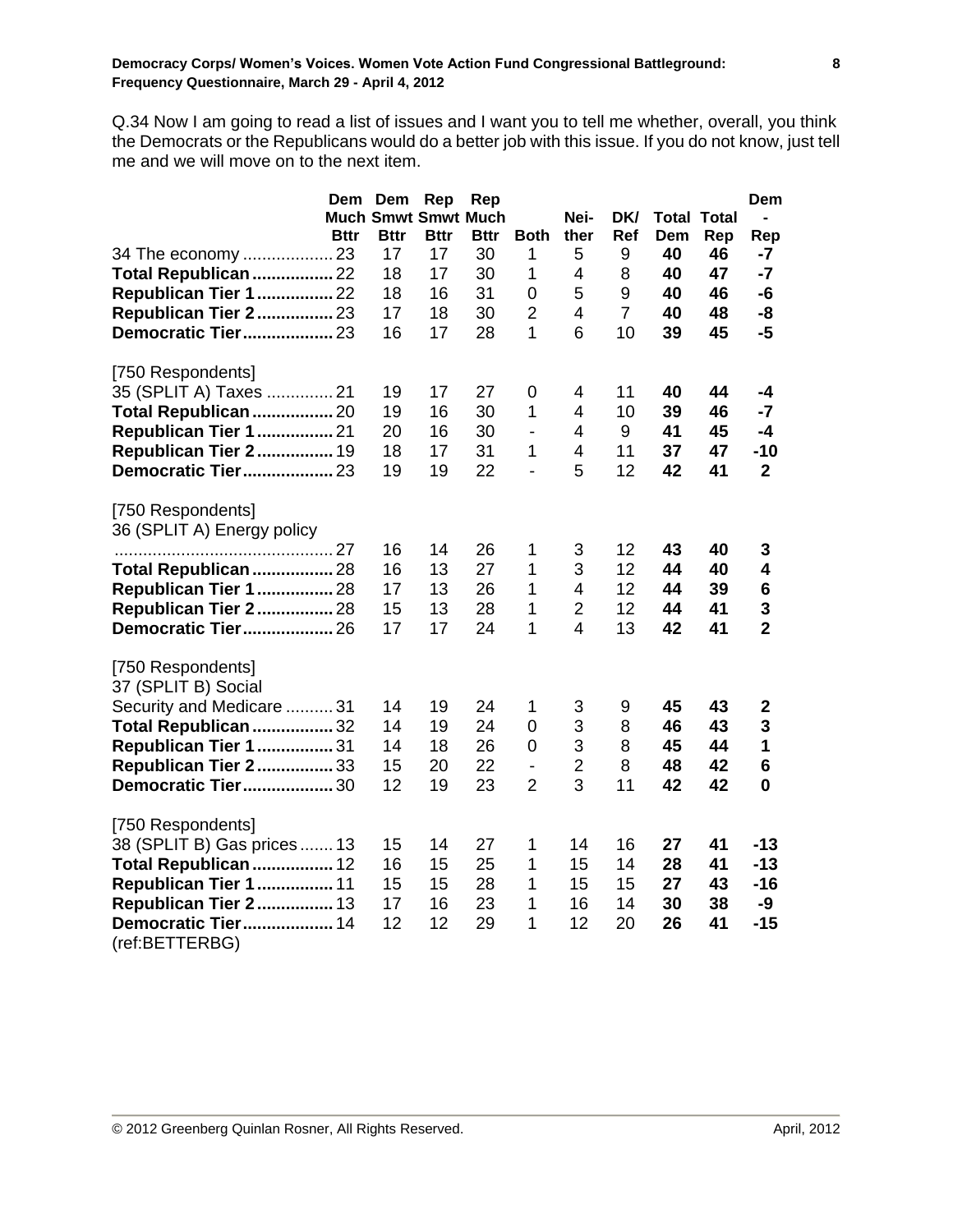Q.34 Now I am going to read a list of issues and I want you to tell me whether, overall, you think the Democrats or the Republicans would do a better job with this issue. If you do not know, just tell me and we will move on to the next item.

|                                                 | Dem<br><b>Bttr</b> | Dem<br><b>Much Smwt Smwt Much</b><br><b>Bttr</b> | Rep<br><b>Bttr</b> | Rep<br><b>Bttr</b> | <b>Both</b>    | Nei-<br>ther   | DK/<br>Ref     | Dem | <b>Total Total</b><br>Rep | Dem<br>$\blacksquare$<br>Rep |
|-------------------------------------------------|--------------------|--------------------------------------------------|--------------------|--------------------|----------------|----------------|----------------|-----|---------------------------|------------------------------|
| 34 The economy  23                              |                    | 17                                               | 17                 | 30                 | 1              | 5              | 9              | 40  | 46                        | -7                           |
| Total Republican  22                            |                    | 18                                               | 17                 | 30                 | 1              | 4              | 8              | 40  | 47                        | $-7$                         |
| <b>Republican Tier 1  22</b>                    |                    | 18                                               | 16                 | 31                 | 0              | 5              | 9              | 40  | 46                        | -6                           |
| <b>Republican Tier 2 23</b>                     |                    | 17                                               | 18                 | 30                 | $\overline{2}$ | 4              | $\overline{7}$ | 40  | 48                        | -8                           |
| <b>Democratic Tier 23</b>                       |                    | 16                                               | 17                 | 28                 | $\mathbf{1}$   | 6              | 10             | 39  | 45                        | $-5$                         |
| [750 Respondents]                               |                    |                                                  |                    |                    |                |                |                |     |                           |                              |
| 35 (SPLIT A) Taxes  21                          |                    | 19                                               | 17                 | 27                 | 0              | 4              | 11             | 40  | 44                        | -4                           |
| Total Republican  20                            |                    | 19                                               | 16                 | 30                 | 1              | 4              | 10             | 39  | 46                        | $-7$                         |
| <b>Republican Tier 1  21</b>                    |                    | 20                                               | 16                 | 30                 | $\overline{a}$ | 4              | 9              | 41  | 45                        | $-4$                         |
| <b>Republican Tier 2 19</b>                     |                    | 18                                               | 17                 | 31                 | 1              | 4              | 11             | 37  | 47                        | $-10$                        |
| Democratic Tier 23                              |                    | 19                                               | 19                 | 22                 | $\overline{a}$ | 5              | 12             | 42  | 41                        | $\overline{2}$               |
| [750 Respondents]<br>36 (SPLIT A) Energy policy |                    |                                                  |                    |                    |                |                |                |     |                           |                              |
|                                                 |                    | 16                                               | 14                 | 26                 | 1              | 3              | 12             | 43  | 40                        | 3                            |
| Total Republican  28                            |                    | 16                                               | 13                 | 27                 | 1              | 3              | 12             | 44  | 40                        | 4                            |
| <b>Republican Tier 1  28</b>                    |                    | 17                                               | 13                 | 26                 | 1              | 4              | 12             | 44  | 39                        | $6\phantom{1}6$              |
| <b>Republican Tier 2 28</b>                     |                    | 15                                               | 13                 | 28                 | 1              | $\overline{2}$ | 12             | 44  | 41                        | 3                            |
| <b>Democratic Tier 26</b>                       |                    | 17                                               | 17                 | 24                 | 1              | $\overline{4}$ | 13             | 42  | 41                        | $\overline{2}$               |
| [750 Respondents]<br>37 (SPLIT B) Social        |                    |                                                  |                    |                    |                |                |                |     |                           |                              |
| Security and Medicare  31                       |                    | 14                                               | 19                 | 24                 | 1              | 3              | 9              | 45  | 43                        | $\mathbf 2$                  |
| Total Republican  32                            |                    | 14                                               | 19                 | 24                 | 0              | 3              | 8              | 46  | 43                        | 3                            |
| <b>Republican Tier 1  31</b>                    |                    | 14                                               | 18                 | 26                 | 0              | 3              | 8              | 45  | 44                        | 1                            |
| <b>Republican Tier 2 33</b>                     |                    | 15                                               | 20                 | 22                 | $\blacksquare$ | 2              | 8              | 48  | 42                        | 6                            |
| Democratic Tier 30                              |                    | 12                                               | 19                 | 23                 | $\overline{2}$ | 3              | 11             | 42  | 42                        | $\bf{0}$                     |
| [750 Respondents]                               |                    |                                                  |                    |                    |                |                |                |     |                           |                              |
| 38 (SPLIT B) Gas prices  13                     |                    | 15                                               | 14                 | 27                 | 1              | 14             | 16             | 27  | 41                        | $-13$                        |
| Total Republican  12                            |                    | 16                                               | 15                 | 25                 | 1              | 15             | 14             | 28  | 41                        | $-13$                        |
| <b>Republican Tier 1  11</b>                    |                    | 15                                               | 15                 | 28                 | 1              | 15             | 15             | 27  | 43                        | $-16$                        |
| <b>Republican Tier 2 13</b>                     |                    | 17                                               | 16                 | 23                 | 1              | 16             | 14             | 30  | 38                        | -9                           |
| Democratic Tier 14<br>(ref:BETTERBG)            |                    | 12                                               | 12                 | 29                 | 1              | 12             | 20             | 26  | 41                        | $-15$                        |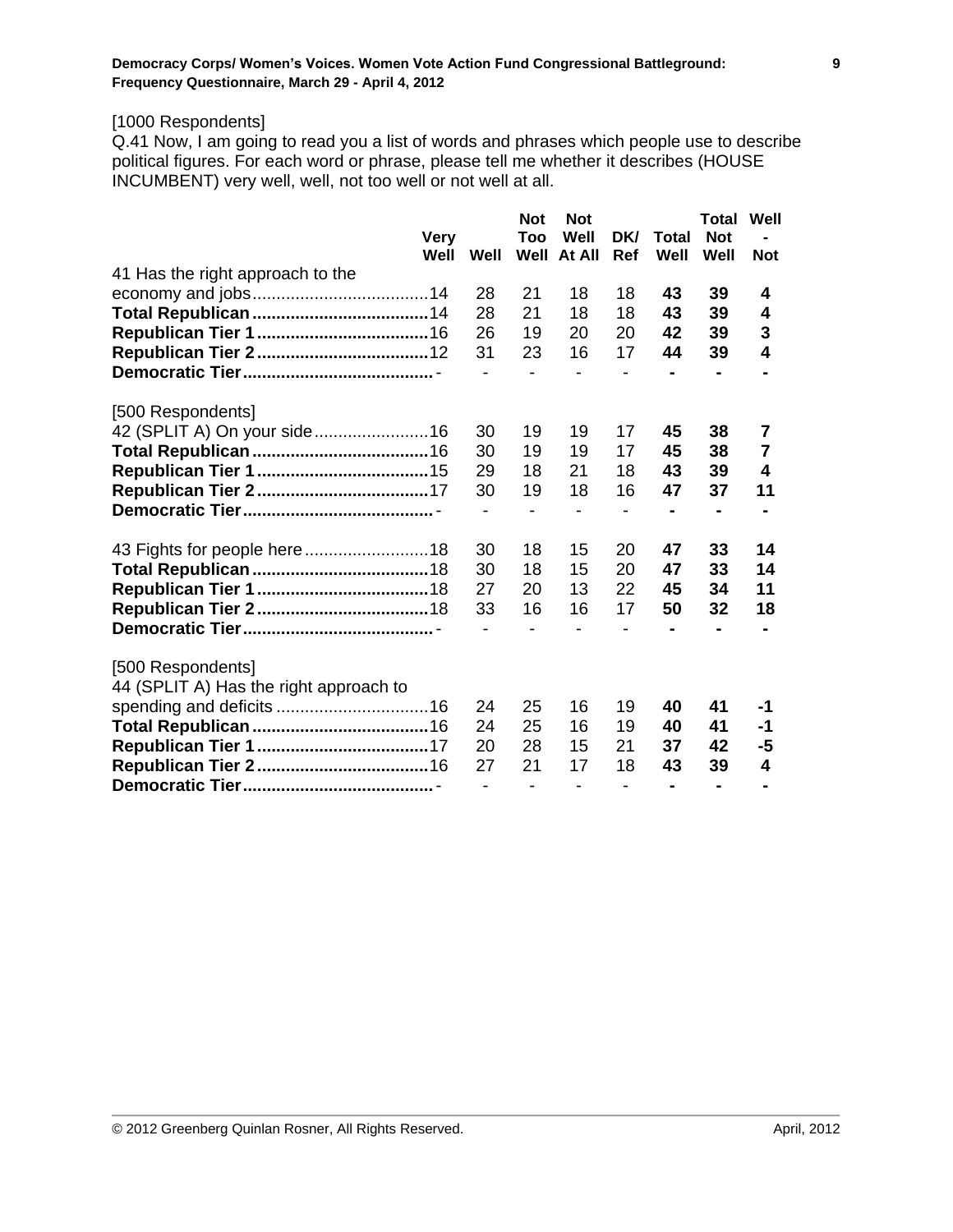# [1000 Respondents]

Q.41 Now, I am going to read you a list of words and phrases which people use to describe political figures. For each word or phrase, please tell me whether it describes (HOUSE INCUMBENT) very well, well, not too well or not well at all.

|                                        | <b>Very</b> |      | <b>Not</b><br>Too | <b>Not</b><br>Well       | DK/ | <b>Total</b>   | <b>Total</b><br><b>Not</b> | Well           |
|----------------------------------------|-------------|------|-------------------|--------------------------|-----|----------------|----------------------------|----------------|
|                                        | Well        | Well | Well              | At All                   | Ref | Well           | Well                       | <b>Not</b>     |
| 41 Has the right approach to the       |             |      |                   |                          |     |                |                            |                |
|                                        |             | 28   | 21                | 18                       | 18  | 43             | 39                         | 4              |
|                                        |             | 28   | 21                | 18                       | 18  | 43             | 39                         | 4              |
|                                        |             | 26   | 19                | 20                       | 20  | 42             | 39                         | 3              |
|                                        |             | 31   | 23                | 16                       | 17  | 44             | 39                         | 4              |
|                                        |             |      | $\overline{a}$    |                          |     |                |                            |                |
| [500 Respondents]                      |             |      |                   |                          |     |                |                            |                |
| 42 (SPLIT A) On your side16            |             | 30   | 19                | 19                       | 17  | 45             | 38                         | 7              |
|                                        |             | 30   | 19                | 19                       | 17  | 45             | 38                         | $\overline{7}$ |
|                                        |             | 29   | 18                | 21                       | 18  | 43             | 39                         | 4              |
|                                        |             | 30   | 19                | 18                       | 16  | 47             | 37                         | 11             |
|                                        |             |      |                   | $\overline{\phantom{0}}$ | -   | $\blacksquare$ |                            |                |
|                                        |             | 30   | 18                | 15                       | 20  | 47             | 33                         | 14             |
|                                        |             | 30   | 18                | 15                       | 20  | 47             | 33                         | 14             |
|                                        |             | 27   | 20                | 13                       | 22  | 45             | 34                         | 11             |
|                                        |             | 33   | 16                | 16                       | 17  | 50             | 32                         | 18             |
|                                        |             |      |                   |                          |     |                |                            |                |
| [500 Respondents]                      |             |      |                   |                          |     |                |                            |                |
| 44 (SPLIT A) Has the right approach to |             |      |                   |                          |     |                |                            |                |
|                                        |             | 24   | 25                | 16                       | 19  | 40             | 41                         | -1             |
|                                        |             | 24   | 25                | 16                       | 19  | 40             | 41                         | -1             |
|                                        |             | 20   | 28                | 15                       | 21  | 37             | 42                         | -5             |
|                                        |             | 27   | 21                | 17                       | 18  | 43             | 39                         | 4              |
|                                        |             |      |                   |                          |     |                |                            |                |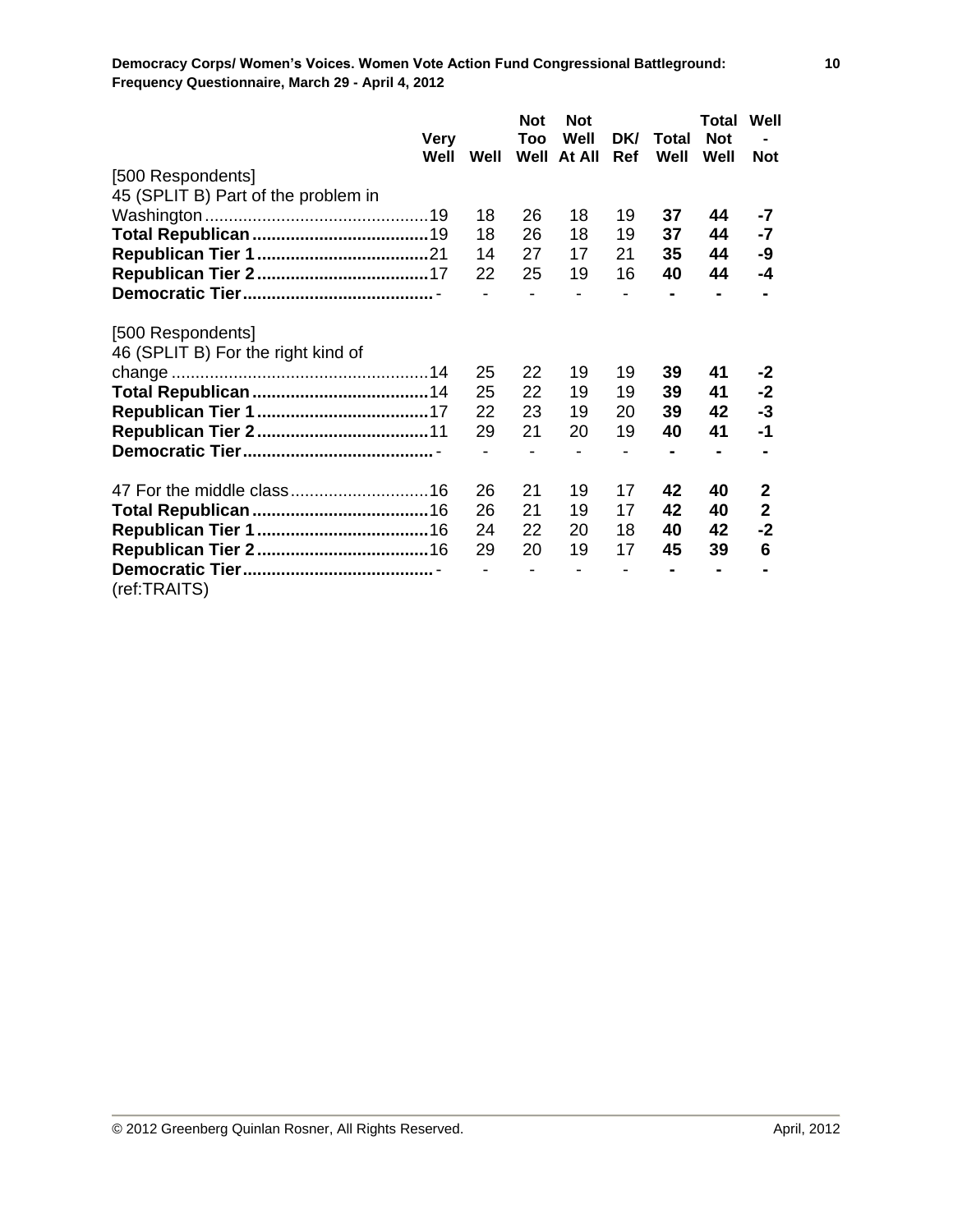|                                     | Very |      | <b>Not</b><br>Too | <b>Not</b><br>Well | DK/ | Total | Total<br><b>Not</b> | Well         |
|-------------------------------------|------|------|-------------------|--------------------|-----|-------|---------------------|--------------|
|                                     | Well | Well | Well              | At All             | Ref | Well  | Well                | <b>Not</b>   |
| [500 Respondents]                   |      |      |                   |                    |     |       |                     |              |
| 45 (SPLIT B) Part of the problem in |      |      |                   |                    |     |       |                     |              |
|                                     |      | 18   | 26                | 18                 | 19  | 37    | 44                  | -7           |
|                                     |      | 18   | 26                | 18                 | 19  | 37    | 44                  | $-7$         |
|                                     |      | 14   | 27                | 17                 | 21  | 35    | 44                  | -9           |
|                                     |      | 22   | 25                | 19                 | 16  | 40    | 44                  | -4           |
|                                     |      |      |                   |                    |     |       |                     |              |
| [500 Respondents]                   |      |      |                   |                    |     |       |                     |              |
| 46 (SPLIT B) For the right kind of  |      |      |                   |                    |     |       |                     |              |
|                                     |      | 25   | 22                | 19                 | 19  | 39    | 41                  | $-2$         |
|                                     |      | 25   | 22                | 19                 | 19  | 39    | 41                  | $-2$         |
|                                     |      | 22   | 23                | 19                 | 20  | 39    | 42                  | $-3$         |
|                                     |      | 29   | 21                | 20                 | 19  | 40    | 41                  | $-1$         |
|                                     |      |      |                   |                    |     |       |                     |              |
|                                     |      | 26   | 21                | 19                 | 17  | 42    | 40                  | $\mathbf{2}$ |
|                                     |      | 26   | 21                | 19                 | 17  | 42    | 40                  | $\mathbf{2}$ |
|                                     |      | 24   | 22                | 20                 | 18  | 40    | 42                  | $-2$         |
|                                     |      | 29   | 20                | 19                 | 17  | 45    | 39                  | 6            |
|                                     |      |      |                   |                    |     |       |                     |              |
| (ref:TRAITS)                        |      |      |                   |                    |     |       |                     |              |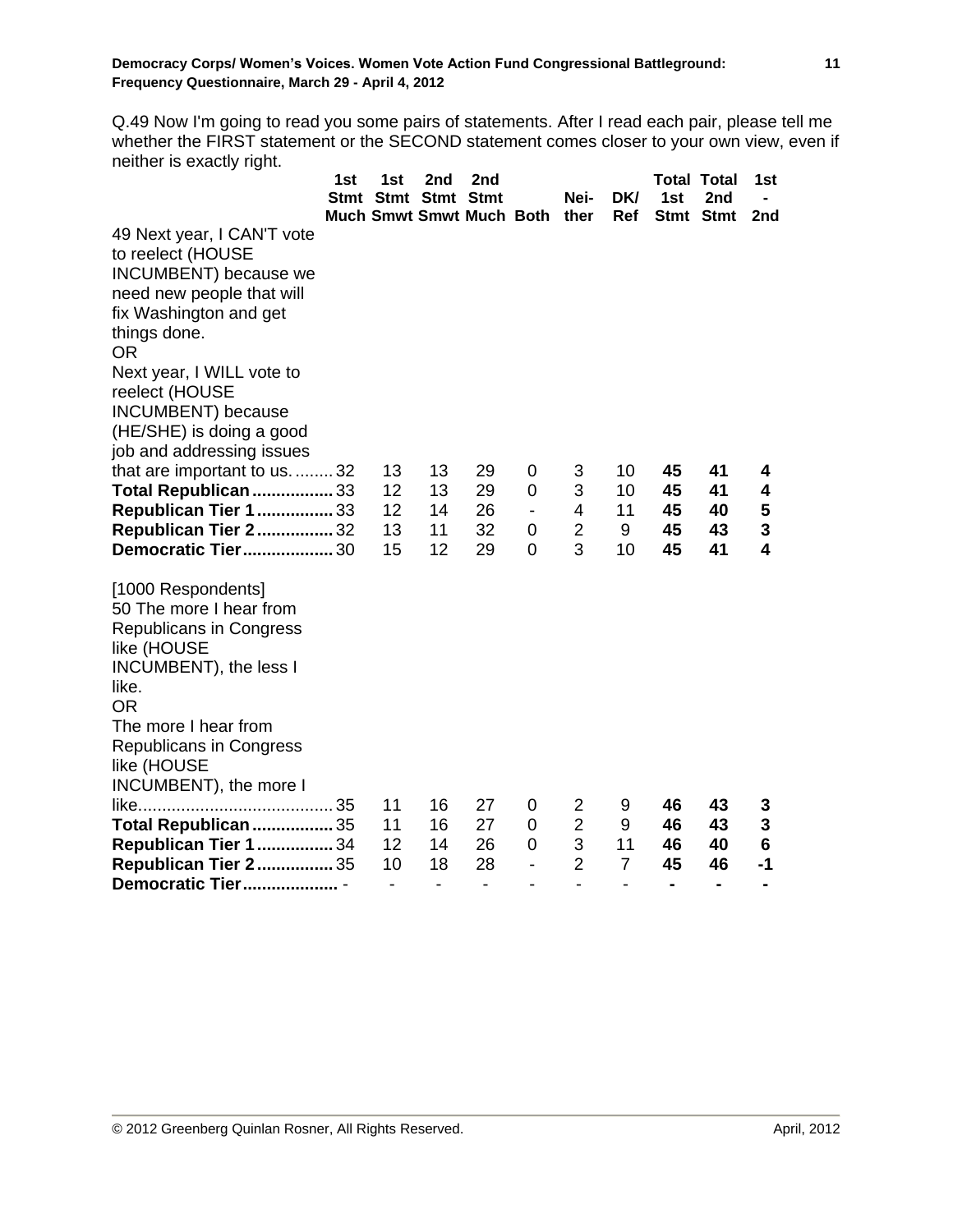Q.49 Now I'm going to read you some pairs of statements. After I read each pair, please tell me whether the FIRST statement or the SECOND statement comes closer to your own view, even if neither is exactly right.

|                                                            | 1st | 1st<br>Stmt Stmt Stmt Stmt | 2nd | 2nd                           |                          | Nei-           | DK/                      | 1st            | <b>Total Total</b><br>2nd | 1st  |
|------------------------------------------------------------|-----|----------------------------|-----|-------------------------------|--------------------------|----------------|--------------------------|----------------|---------------------------|------|
| 49 Next year, I CAN'T vote                                 |     |                            |     | Much Smwt Smwt Much Both ther |                          |                | Ref                      |                | Stmt Stmt                 | 2nd  |
| to reelect (HOUSE                                          |     |                            |     |                               |                          |                |                          |                |                           |      |
| INCUMBENT) because we                                      |     |                            |     |                               |                          |                |                          |                |                           |      |
| need new people that will                                  |     |                            |     |                               |                          |                |                          |                |                           |      |
| fix Washington and get                                     |     |                            |     |                               |                          |                |                          |                |                           |      |
| things done.                                               |     |                            |     |                               |                          |                |                          |                |                           |      |
| <b>OR</b>                                                  |     |                            |     |                               |                          |                |                          |                |                           |      |
| Next year, I WILL vote to                                  |     |                            |     |                               |                          |                |                          |                |                           |      |
| reelect (HOUSE                                             |     |                            |     |                               |                          |                |                          |                |                           |      |
| INCUMBENT) because                                         |     |                            |     |                               |                          |                |                          |                |                           |      |
| (HE/SHE) is doing a good                                   |     |                            |     |                               |                          |                |                          |                |                           |      |
| job and addressing issues<br>that are important to us.  32 |     | 13                         | 13  | 29                            | 0                        | 3              | 10                       | 45             | 41                        | 4    |
| Total Republican  33                                       |     | 12                         | 13  | 29                            | $\mathbf 0$              | 3              | 10                       | 45             | 41                        | 4    |
| <b>Republican Tier 1  33</b>                               |     | 12                         | 14  | 26                            | $\overline{\phantom{0}}$ | 4              | 11                       | 45             | 40                        | 5    |
| <b>Republican Tier 2 32</b>                                |     | 13                         | 11  | 32                            | 0                        | $\overline{2}$ | 9                        | 45             | 43                        | 3    |
| <b>Democratic Tier 30</b>                                  |     | 15                         | 12  | 29                            | $\Omega$                 | 3              | 10                       | 45             | 41                        | 4    |
| [1000 Respondents]<br>50 The more I hear from              |     |                            |     |                               |                          |                |                          |                |                           |      |
| Republicans in Congress                                    |     |                            |     |                               |                          |                |                          |                |                           |      |
| like (HOUSE                                                |     |                            |     |                               |                          |                |                          |                |                           |      |
| INCUMBENT), the less I                                     |     |                            |     |                               |                          |                |                          |                |                           |      |
| like.<br><b>OR</b>                                         |     |                            |     |                               |                          |                |                          |                |                           |      |
| The more I hear from                                       |     |                            |     |                               |                          |                |                          |                |                           |      |
| <b>Republicans in Congress</b>                             |     |                            |     |                               |                          |                |                          |                |                           |      |
| like (HOUSE                                                |     |                            |     |                               |                          |                |                          |                |                           |      |
| INCUMBENT), the more I                                     |     |                            |     |                               |                          |                |                          |                |                           |      |
|                                                            |     | 11                         | 16  | 27                            | 0                        | 2              | 9                        | 46             | 43                        | 3    |
| <b>Total Republican  35</b>                                |     | 11                         | 16  | 27                            | 0                        | $\overline{2}$ | 9                        | 46             | 43                        | 3    |
| <b>Republican Tier 1  34</b>                               |     | 12                         | 14  | 26                            | 0                        | 3              | 11                       | 46             | 40                        | 6    |
| <b>Republican Tier 2 35</b>                                |     | 10                         | 18  | 28                            | $\overline{\phantom{0}}$ | $\overline{2}$ | $\overline{7}$           | 45             | 46                        | $-1$ |
| Democratic Tier                                            |     | $\overline{\phantom{0}}$   | -   | $\overline{\phantom{a}}$      |                          | -              | $\overline{\phantom{0}}$ | $\blacksquare$ | $\blacksquare$            |      |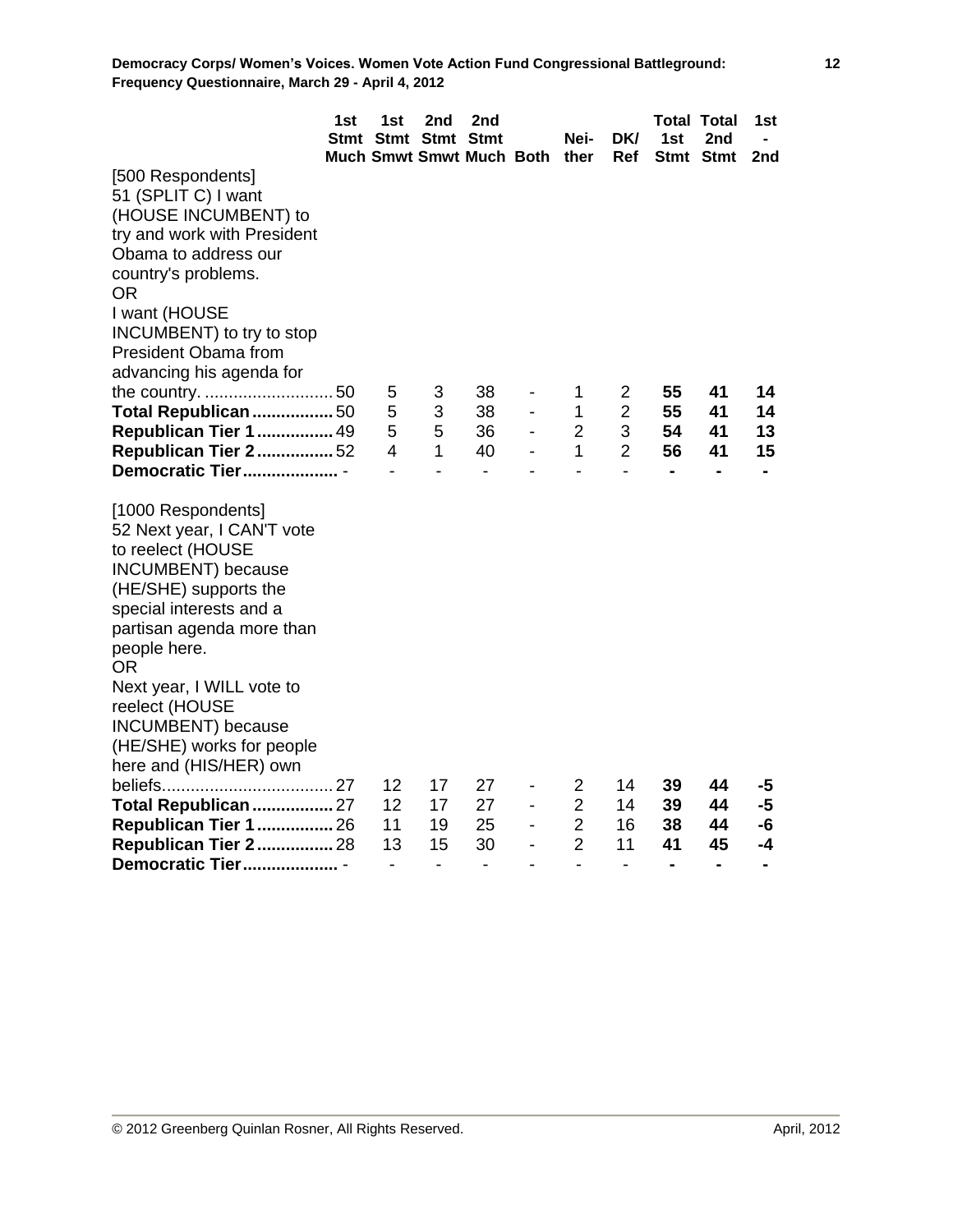|                                                                                                                                                                                                                                                                                              | 1st | 1st<br>Stmt Stmt Stmt Stmt   | 2nd                          | 2nd<br>Much Smwt Smwt Much Both ther |                                                      | Nei-                     | DK/<br>Ref               | 1st            | <b>Total Total</b><br>2nd<br>Stmt Stmt | 1st<br>2nd     |
|----------------------------------------------------------------------------------------------------------------------------------------------------------------------------------------------------------------------------------------------------------------------------------------------|-----|------------------------------|------------------------------|--------------------------------------|------------------------------------------------------|--------------------------|--------------------------|----------------|----------------------------------------|----------------|
| [500 Respondents]<br>51 (SPLIT C) I want<br>(HOUSE INCUMBENT) to<br>try and work with President<br>Obama to address our<br>country's problems.<br><b>OR</b><br>I want (HOUSE<br>INCUMBENT) to try to stop<br><b>President Obama from</b><br>advancing his agenda for<br>Total Republican  50 |     | 5<br>5                       | 3<br>3                       | 38<br>38                             | $\overline{\phantom{0}}$<br>$\overline{\phantom{0}}$ | 1<br>1                   | 2<br>$\overline{2}$      | 55<br>55       | 41<br>41                               | 14<br>14       |
| <b>Republican Tier 1  49</b>                                                                                                                                                                                                                                                                 |     | 5                            | 5                            | 36                                   |                                                      | $\overline{2}$           | 3                        | 54             | 41                                     | 13             |
| <b>Republican Tier 2 52</b>                                                                                                                                                                                                                                                                  |     | 4                            | 1                            | 40                                   |                                                      | $\mathbf{1}$             | $\overline{2}$           | 56             | 41                                     | 15             |
| Democratic Tier                                                                                                                                                                                                                                                                              |     |                              | $\overline{\phantom{a}}$     | $\blacksquare$                       |                                                      | $\overline{a}$           | $\overline{a}$           | $\blacksquare$ | $\blacksquare$                         |                |
| [1000 Respondents]<br>52 Next year, I CAN'T vote<br>to reelect (HOUSE<br>INCUMBENT) because<br>(HE/SHE) supports the<br>special interests and a<br>partisan agenda more than<br>people here.<br><b>OR</b><br>Next year, I WILL vote to<br>reelect (HOUSE<br>INCUMBENT) because               |     |                              |                              |                                      |                                                      |                          |                          |                |                                        |                |
| (HE/SHE) works for people                                                                                                                                                                                                                                                                    |     |                              |                              |                                      |                                                      |                          |                          |                |                                        |                |
| here and (HIS/HER) own                                                                                                                                                                                                                                                                       |     |                              |                              |                                      |                                                      |                          |                          |                |                                        |                |
|                                                                                                                                                                                                                                                                                              |     | 12                           | 17                           | 27                                   | $\overline{\phantom{a}}$                             | 2                        | 14                       | 39             | 44                                     | -5             |
| Total Republican  27                                                                                                                                                                                                                                                                         |     | 12                           | 17                           | 27                                   |                                                      | $\overline{2}$           | 14                       | 39             | 44                                     | -5             |
| <b>Republican Tier 1  26</b>                                                                                                                                                                                                                                                                 |     | 11                           | 19                           | 25                                   | $\overline{\phantom{0}}$                             | $\overline{2}$           | 16                       | 38             | 44                                     | -6             |
| <b>Republican Tier 2 28</b>                                                                                                                                                                                                                                                                  |     | 13                           | 15                           | 30                                   | $\overline{\phantom{0}}$                             | $\overline{2}$           | 11                       | 41             | 45                                     | -4             |
| Democratic Tier                                                                                                                                                                                                                                                                              |     | $\qquad \qquad \blacksquare$ | $\qquad \qquad \blacksquare$ | $\qquad \qquad \blacksquare$         |                                                      | $\overline{\phantom{0}}$ | $\overline{\phantom{a}}$ | $\blacksquare$ | $\blacksquare$                         | $\blacksquare$ |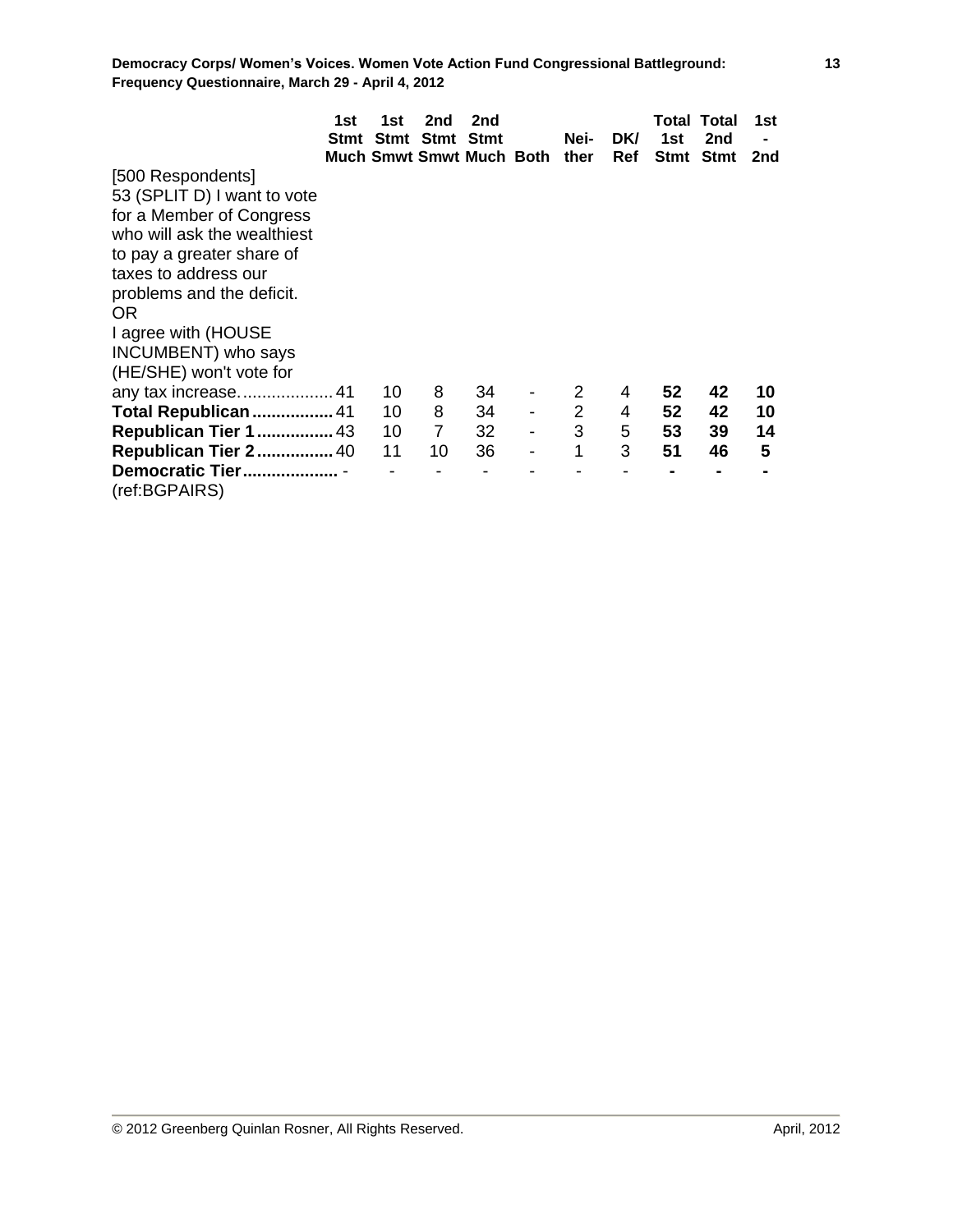|                              | 1st<br>Stmt | 1st | 2nd<br>Stmt Stmt Stmt | 2nd<br><b>Much Smwt Smwt Much Both</b> |                          | Nei-<br>ther   | <b>DKI</b><br><b>Ref</b> | 1st | Total Total<br>2nd<br>Stmt Stmt | 1st<br>2nd |
|------------------------------|-------------|-----|-----------------------|----------------------------------------|--------------------------|----------------|--------------------------|-----|---------------------------------|------------|
| [500 Respondents]            |             |     |                       |                                        |                          |                |                          |     |                                 |            |
| 53 (SPLIT D) I want to vote  |             |     |                       |                                        |                          |                |                          |     |                                 |            |
| for a Member of Congress     |             |     |                       |                                        |                          |                |                          |     |                                 |            |
| who will ask the wealthiest  |             |     |                       |                                        |                          |                |                          |     |                                 |            |
| to pay a greater share of    |             |     |                       |                                        |                          |                |                          |     |                                 |            |
| taxes to address our         |             |     |                       |                                        |                          |                |                          |     |                                 |            |
| problems and the deficit.    |             |     |                       |                                        |                          |                |                          |     |                                 |            |
| OR.                          |             |     |                       |                                        |                          |                |                          |     |                                 |            |
| I agree with (HOUSE          |             |     |                       |                                        |                          |                |                          |     |                                 |            |
| INCUMBENT) who says          |             |     |                       |                                        |                          |                |                          |     |                                 |            |
| (HE/SHE) won't vote for      |             |     |                       |                                        |                          |                |                          |     |                                 |            |
|                              |             | 10  | 8                     | 34                                     |                          | 2              | 4                        | 52  | 42                              | 10         |
| Total Republican  41         |             | 10  | 8                     | 34                                     |                          | $\overline{2}$ | 4                        | 52  | 42                              | 10         |
| <b>Republican Tier 1  43</b> |             | 10  | $\overline{7}$        | 32                                     |                          | 3              | 5                        | 53  | 39                              | 14         |
| <b>Republican Tier 2 40</b>  |             | 11  | 10                    | 36                                     | $\overline{\phantom{a}}$ | 1              | 3                        | 51  | 46                              | 5          |
| Democratic Tier              |             |     |                       |                                        |                          |                |                          |     |                                 |            |
| (ref:BGPAIRS)                |             |     |                       |                                        |                          |                |                          |     |                                 |            |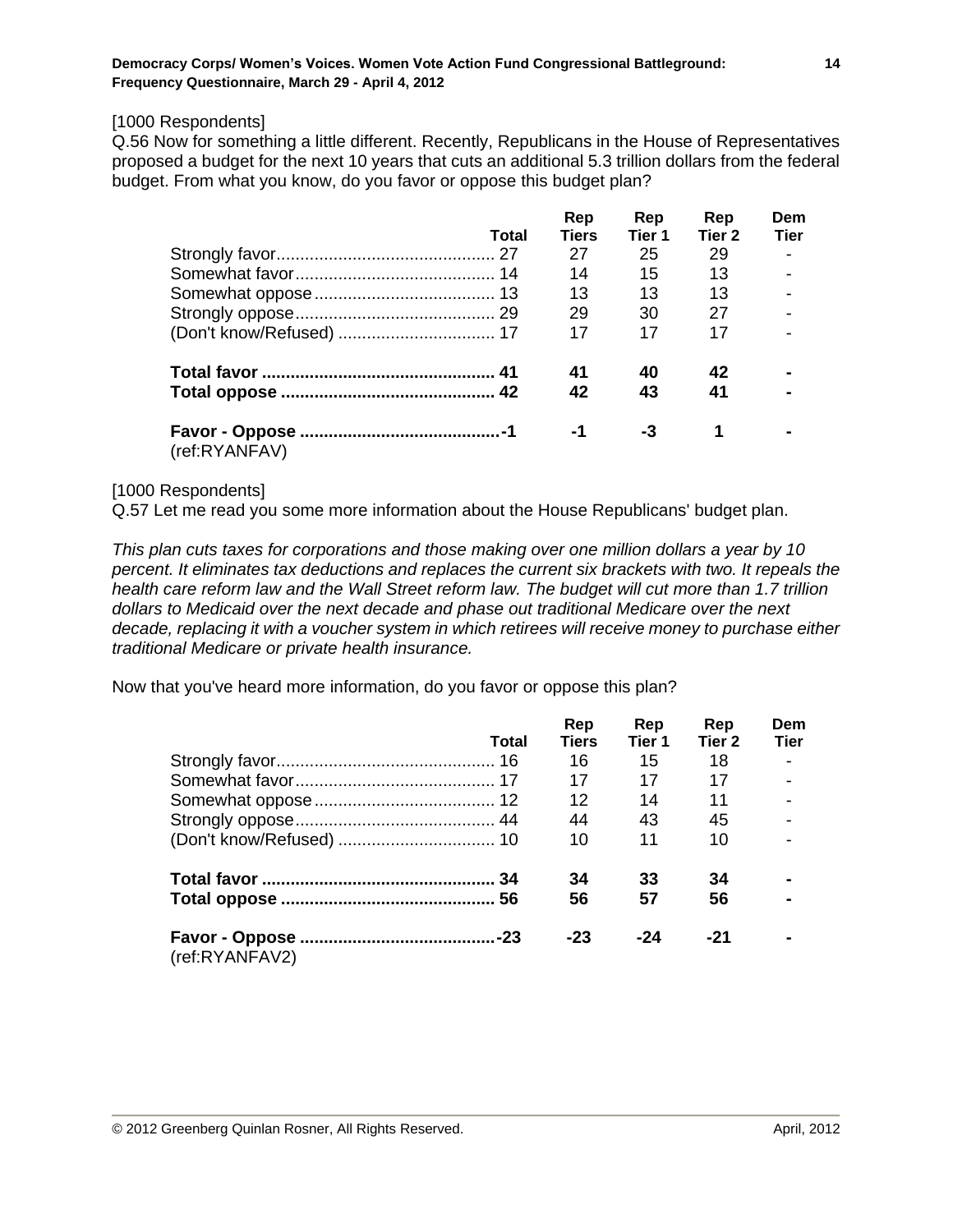#### [1000 Respondents]

Q.56 Now for something a little different. Recently, Republicans in the House of Representatives proposed a budget for the next 10 years that cuts an additional 5.3 trillion dollars from the federal budget. From what you know, do you favor or oppose this budget plan?

|               | Total | Rep<br><b>Tiers</b> | Rep<br>Tier 1 | Rep<br>Tier 2 | Dem<br><b>Tier</b> |
|---------------|-------|---------------------|---------------|---------------|--------------------|
|               |       | 27                  | 25            | 29            |                    |
|               |       | 14                  | 15            | 13            |                    |
|               |       | 13                  | 13            | 13            |                    |
|               |       | 29                  | 30            | 27            |                    |
|               |       | 17                  | 17            | 17            |                    |
|               |       | 41                  | 40            | 42            |                    |
|               |       | 42                  | 43            | 41            |                    |
| (ref:RYANFAV) |       | -1                  | -3            | 1             |                    |

#### [1000 Respondents]

Q.57 Let me read you some more information about the House Republicans' budget plan.

*This plan cuts taxes for corporations and those making over one million dollars a year by 10 percent. It eliminates tax deductions and replaces the current six brackets with two. It repeals the health care reform law and the Wall Street reform law. The budget will cut more than 1.7 trillion dollars to Medicaid over the next decade and phase out traditional Medicare over the next decade, replacing it with a voucher system in which retirees will receive money to purchase either traditional Medicare or private health insurance.* 

Now that you've heard more information, do you favor or oppose this plan?

|                | Total | Rep<br><b>Tiers</b> | Rep<br>Tier 1 | Rep<br>Tier <sub>2</sub> | Dem<br><b>Tier</b> |
|----------------|-------|---------------------|---------------|--------------------------|--------------------|
|                |       | 16                  | 15            | 18                       |                    |
|                |       | 17                  | 17            | 17                       |                    |
|                |       | $12 \overline{ }$   | 14            | 11                       |                    |
|                |       | 44                  | 43            | 45                       | $\overline{a}$     |
|                |       | 10                  | 11            | 10                       |                    |
|                |       | 34                  | 33            | 34                       |                    |
|                |       | 56                  | 57            | 56                       | $\blacksquare$     |
| (ref:RYANFAV2) |       | $-23$               | $-24$         | $-21$                    |                    |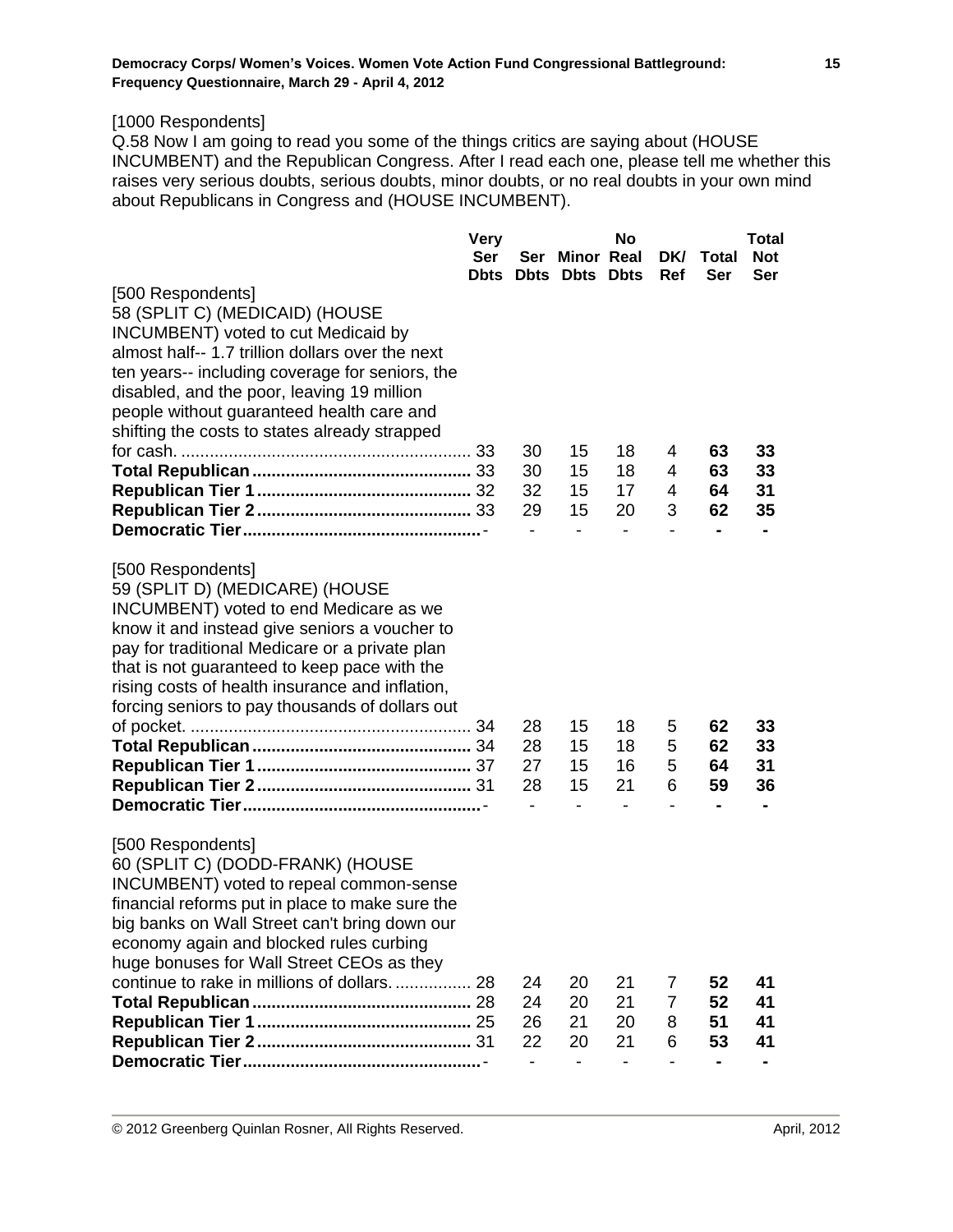# [1000 Respondents]

Q.58 Now I am going to read you some of the things critics are saying about (HOUSE INCUMBENT) and the Republican Congress. After I read each one, please tell me whether this raises very serious doubts, serious doubts, minor doubts, or no real doubts in your own mind about Republicans in Congress and (HOUSE INCUMBENT).

|                                                  | <b>Very</b> |    |                       | No |     |                | <b>Total</b> |
|--------------------------------------------------|-------------|----|-----------------------|----|-----|----------------|--------------|
|                                                  | Ser         |    | Ser Minor Real        |    | DK/ | Total          | <b>Not</b>   |
|                                                  | <b>Dbts</b> |    | <b>Dbts Dbts Dbts</b> |    | Ref | Ser            | Ser          |
| [500 Respondents]                                |             |    |                       |    |     |                |              |
| 58 (SPLIT C) (MEDICAID) (HOUSE                   |             |    |                       |    |     |                |              |
| <b>INCUMBENT)</b> voted to cut Medicaid by       |             |    |                       |    |     |                |              |
| almost half-- 1.7 trillion dollars over the next |             |    |                       |    |     |                |              |
| ten years-- including coverage for seniors, the  |             |    |                       |    |     |                |              |
| disabled, and the poor, leaving 19 million       |             |    |                       |    |     |                |              |
| people without guaranteed health care and        |             |    |                       |    |     |                |              |
| shifting the costs to states already strapped    |             |    |                       |    |     |                |              |
|                                                  |             | 30 | 15                    | 18 | 4   | 63             | 33           |
|                                                  |             | 30 | 15                    | 18 | 4   | 63             | 33           |
|                                                  |             | 32 | 15                    | 17 | 4   | 64             | 31           |
|                                                  |             | 29 | 15                    | 20 | 3   | 62             | 35           |
|                                                  |             |    |                       |    |     |                |              |
| [500 Respondents]                                |             |    |                       |    |     |                |              |
| 59 (SPLIT D) (MEDICARE) (HOUSE                   |             |    |                       |    |     |                |              |
| INCUMBENT) voted to end Medicare as we           |             |    |                       |    |     |                |              |
| know it and instead give seniors a voucher to    |             |    |                       |    |     |                |              |
| pay for traditional Medicare or a private plan   |             |    |                       |    |     |                |              |
| that is not guaranteed to keep pace with the     |             |    |                       |    |     |                |              |
| rising costs of health insurance and inflation,  |             |    |                       |    |     |                |              |
| forcing seniors to pay thousands of dollars out  |             |    |                       |    |     |                |              |
|                                                  |             | 28 | 15                    | 18 | 5   | 62             | 33           |
|                                                  |             | 28 | 15                    | 18 | 5   | 62             | 33           |
|                                                  |             | 27 | 15                    | 16 | 5   | 64             | 31           |
|                                                  |             | 28 | 15                    | 21 | 6   | 59             | 36           |
|                                                  |             |    |                       |    | -   | $\blacksquare$ |              |
| [500 Respondents]                                |             |    |                       |    |     |                |              |
| 60 (SPLIT C) (DODD-FRANK) (HOUSE                 |             |    |                       |    |     |                |              |
| INCUMBENT) voted to repeal common-sense          |             |    |                       |    |     |                |              |
| financial reforms put in place to make sure the  |             |    |                       |    |     |                |              |
| big banks on Wall Street can't bring down our    |             |    |                       |    |     |                |              |
| economy again and blocked rules curbing          |             |    |                       |    |     |                |              |
| huge bonuses for Wall Street CEOs as they        |             |    |                       |    |     |                |              |
| continue to rake in millions of dollars          | -28         | 24 | 20                    | 21 | 7   | 52             | 41           |
|                                                  |             | 24 | 20                    | 21 | 7   | 52             | 41           |
|                                                  |             | 26 | 21                    | 20 | 8   | 51             | 41           |
|                                                  |             | 22 | 20                    | 21 | 6   | 53             | 41           |
|                                                  |             |    |                       |    |     |                |              |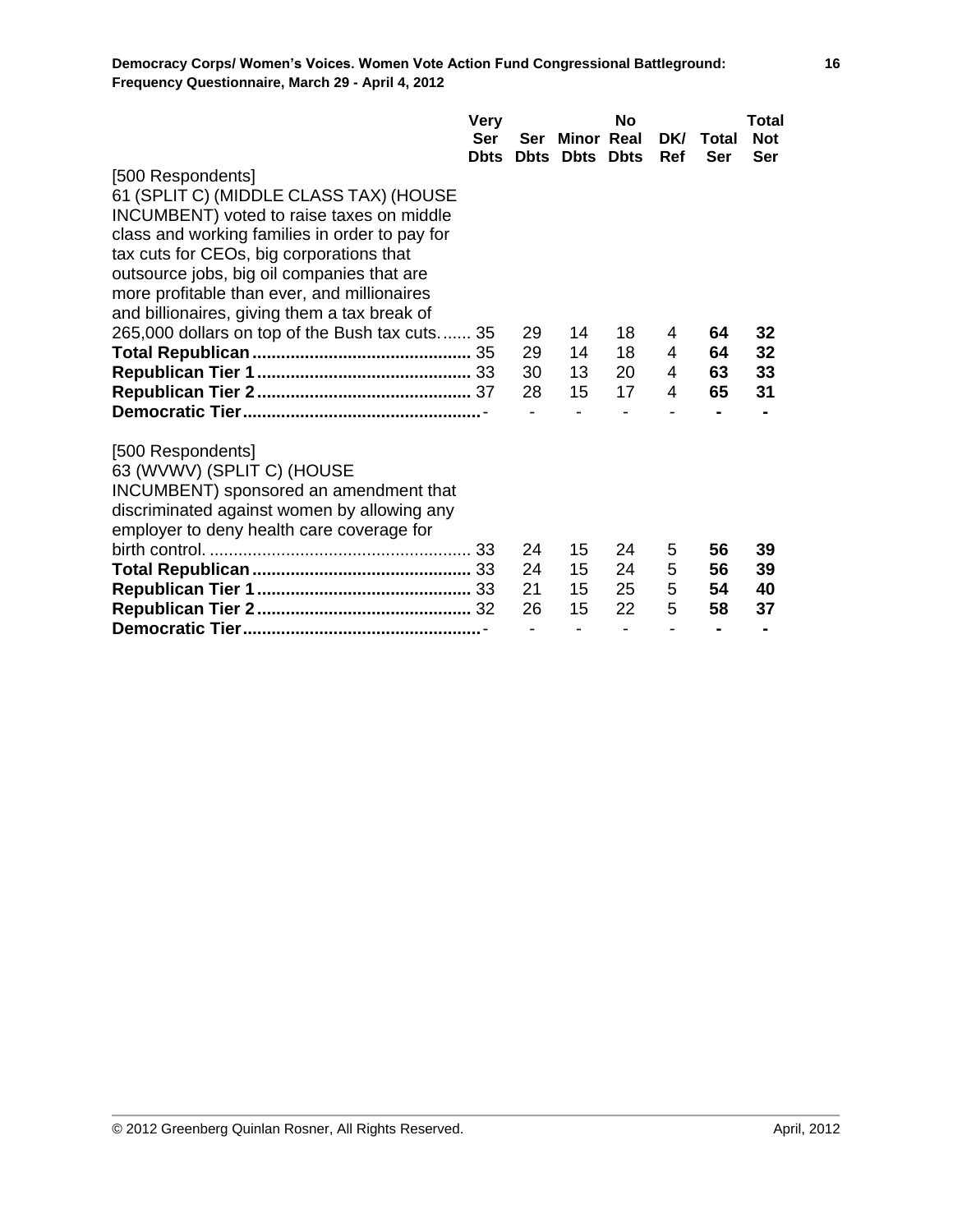|                                                | <b>Very</b>  |     |                  | <b>No</b>    |     |       | Total      |
|------------------------------------------------|--------------|-----|------------------|--------------|-----|-------|------------|
|                                                | Ser          | Ser | Minor Real       |              | DK/ | Total | <b>Not</b> |
|                                                | <b>D</b> bts |     | <b>Dbts</b> Dbts | <b>D</b> bts | Ref | Ser   | Ser        |
| [500 Respondents]                              |              |     |                  |              |     |       |            |
| 61 (SPLIT C) (MIDDLE CLASS TAX) (HOUSE         |              |     |                  |              |     |       |            |
| INCUMBENT) voted to raise taxes on middle      |              |     |                  |              |     |       |            |
| class and working families in order to pay for |              |     |                  |              |     |       |            |
| tax cuts for CEOs, big corporations that       |              |     |                  |              |     |       |            |
| outsource jobs, big oil companies that are     |              |     |                  |              |     |       |            |
| more profitable than ever, and millionaires    |              |     |                  |              |     |       |            |
| and billionaires, giving them a tax break of   |              |     |                  |              |     |       |            |
| 265,000 dollars on top of the Bush tax cuts 35 |              | 29  | 14               | 18           | 4   | 64    | 32         |
|                                                |              | 29  | 14               | 18           | 4   | 64    | 32         |
|                                                |              | 30  | 13               | 20           | 4   | 63    | 33         |
|                                                |              | 28  | 15               | 17           | 4   | 65    | 31         |
|                                                |              |     |                  |              |     |       |            |
| [500 Respondents]                              |              |     |                  |              |     |       |            |
| 63 (WVWV) (SPLIT C) (HOUSE                     |              |     |                  |              |     |       |            |
| INCUMBENT) sponsored an amendment that         |              |     |                  |              |     |       |            |
| discriminated against women by allowing any    |              |     |                  |              |     |       |            |
| employer to deny health care coverage for      |              |     |                  |              |     |       |            |
|                                                |              | 24  | 15               | 24           | 5   | 56    | 39         |
|                                                |              | 24  | 15               | 24           | 5   | 56    | 39         |
|                                                |              | 21  | 15               | 25           | 5   | 54    | 40         |
|                                                |              | 26  | 15               | 22           | 5   | 58    | 37         |
|                                                |              |     |                  |              |     |       |            |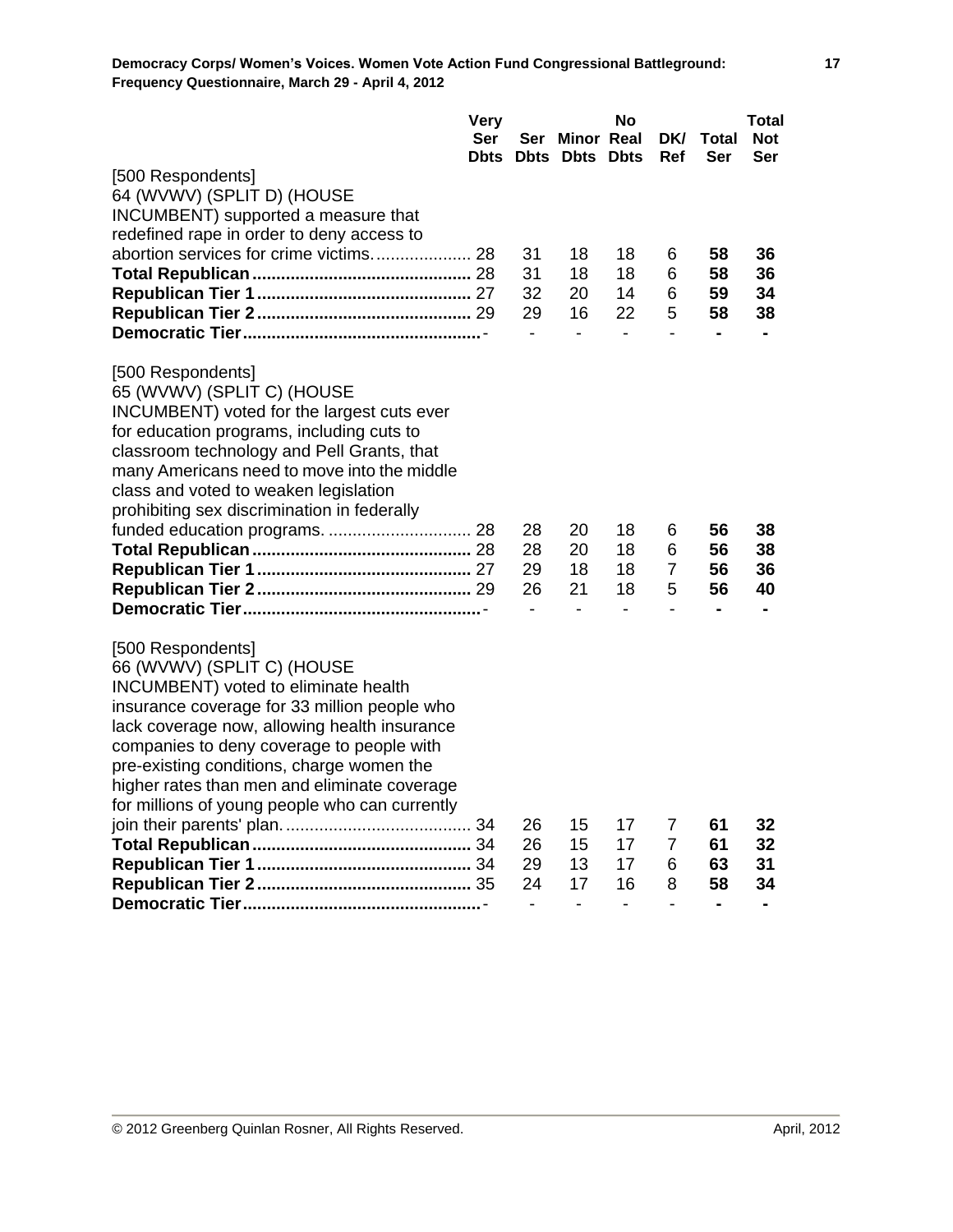|                                                | <b>Very</b> |                          | No                           |                              |                          | Total          |                |  |
|------------------------------------------------|-------------|--------------------------|------------------------------|------------------------------|--------------------------|----------------|----------------|--|
|                                                | Ser         | Ser                      | <b>Minor Real</b>            |                              | <b>DKI</b>               | Total          | <b>Not</b>     |  |
|                                                | <b>Dbts</b> |                          | <b>Dbts Dbts Dbts</b>        |                              | Ref                      | Ser            | Ser            |  |
| [500 Respondents]                              |             |                          |                              |                              |                          |                |                |  |
| 64 (WVWV) (SPLIT D) (HOUSE                     |             |                          |                              |                              |                          |                |                |  |
| INCUMBENT) supported a measure that            |             |                          |                              |                              |                          |                |                |  |
| redefined rape in order to deny access to      |             |                          |                              |                              |                          |                |                |  |
|                                                |             | 31                       | 18                           | 18                           | 6                        | 58             | 36             |  |
|                                                |             | 31                       | 18                           | 18                           | 6                        | 58             | 36             |  |
|                                                |             | 32                       | 20                           | 14                           | 6                        | 59             | 34             |  |
|                                                |             | 29                       | 16                           | 22                           | 5                        | 58             | 38             |  |
|                                                |             | $\overline{\phantom{a}}$ | $\qquad \qquad \blacksquare$ | $\qquad \qquad \blacksquare$ | $\overline{\phantom{0}}$ | $\blacksquare$ | $\blacksquare$ |  |
| [500 Respondents]                              |             |                          |                              |                              |                          |                |                |  |
| 65 (WVWV) (SPLIT C) (HOUSE                     |             |                          |                              |                              |                          |                |                |  |
| INCUMBENT) voted for the largest cuts ever     |             |                          |                              |                              |                          |                |                |  |
| for education programs, including cuts to      |             |                          |                              |                              |                          |                |                |  |
| classroom technology and Pell Grants, that     |             |                          |                              |                              |                          |                |                |  |
| many Americans need to move into the middle    |             |                          |                              |                              |                          |                |                |  |
| class and voted to weaken legislation          |             |                          |                              |                              |                          |                |                |  |
| prohibiting sex discrimination in federally    |             |                          |                              |                              |                          |                |                |  |
|                                                |             | 28                       | 20                           | 18                           | 6                        | 56             | 38             |  |
|                                                |             | 28                       | 20                           | 18                           | 6                        | 56             | 38             |  |
|                                                |             | 29                       | 18                           | 18                           | 7                        | 56             | 36             |  |
|                                                |             | 26                       | 21                           | 18                           | 5                        | 56             | 40             |  |
|                                                |             | $\blacksquare$           | $\blacksquare$               | $\blacksquare$               | $\blacksquare$           | $\blacksquare$ |                |  |
| [500 Respondents]                              |             |                          |                              |                              |                          |                |                |  |
| 66 (WVWV) (SPLIT C) (HOUSE                     |             |                          |                              |                              |                          |                |                |  |
| INCUMBENT) voted to eliminate health           |             |                          |                              |                              |                          |                |                |  |
| insurance coverage for 33 million people who   |             |                          |                              |                              |                          |                |                |  |
| lack coverage now, allowing health insurance   |             |                          |                              |                              |                          |                |                |  |
| companies to deny coverage to people with      |             |                          |                              |                              |                          |                |                |  |
| pre-existing conditions, charge women the      |             |                          |                              |                              |                          |                |                |  |
| higher rates than men and eliminate coverage   |             |                          |                              |                              |                          |                |                |  |
| for millions of young people who can currently |             |                          |                              |                              |                          |                |                |  |
|                                                |             | 26                       | 15                           | 17                           | $\overline{7}$           | 61             | 32             |  |
|                                                |             | 26                       | 15                           | 17                           | 7                        | 61             | 32             |  |
|                                                |             | 29                       | 13                           | 17                           | 6                        | 63             | 31             |  |
|                                                |             | 24                       | 17                           | 16                           | 8                        | 58             | 34             |  |
|                                                |             |                          |                              |                              | $\overline{\phantom{0}}$ | $\blacksquare$ |                |  |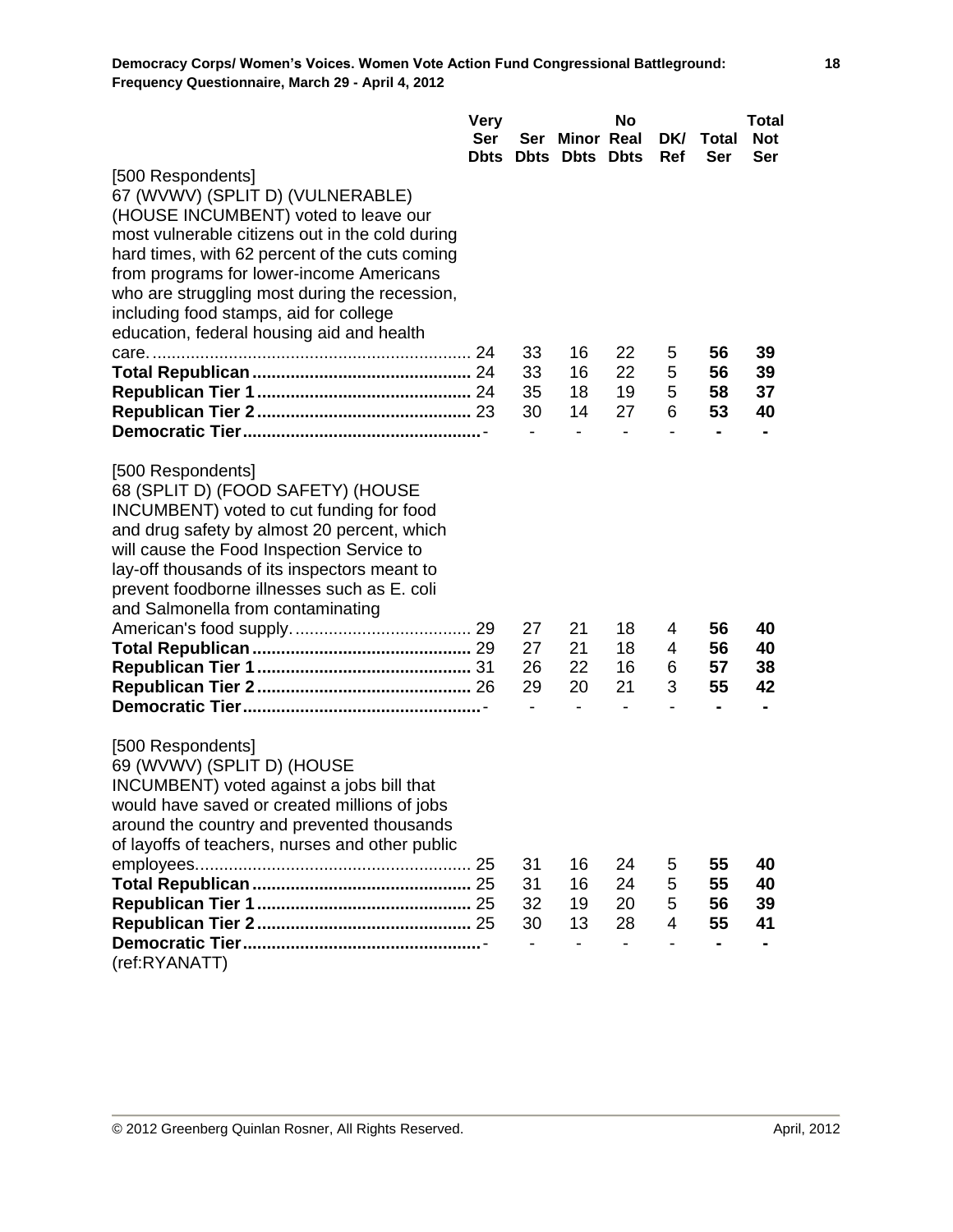|                                                 | <b>Very</b> |    | <b>No</b>                |    |                          | Total          |            |  |
|-------------------------------------------------|-------------|----|--------------------------|----|--------------------------|----------------|------------|--|
|                                                 | <b>Ser</b>  |    | Ser Minor Real           |    | DK/                      | Total          | <b>Not</b> |  |
|                                                 | <b>Dbts</b> |    | <b>Dbts Dbts Dbts</b>    |    | Ref                      | <b>Ser</b>     | Ser        |  |
| [500 Respondents]                               |             |    |                          |    |                          |                |            |  |
| 67 (WVWV) (SPLIT D) (VULNERABLE)                |             |    |                          |    |                          |                |            |  |
| (HOUSE INCUMBENT) voted to leave our            |             |    |                          |    |                          |                |            |  |
| most vulnerable citizens out in the cold during |             |    |                          |    |                          |                |            |  |
| hard times, with 62 percent of the cuts coming  |             |    |                          |    |                          |                |            |  |
| from programs for lower-income Americans        |             |    |                          |    |                          |                |            |  |
| who are struggling most during the recession,   |             |    |                          |    |                          |                |            |  |
| including food stamps, aid for college          |             |    |                          |    |                          |                |            |  |
| education, federal housing aid and health       |             |    |                          |    |                          |                |            |  |
|                                                 |             | 33 | 16                       | 22 | 5                        | 56             | 39         |  |
|                                                 |             | 33 | 16                       | 22 | 5                        | 56             | 39         |  |
|                                                 |             | 35 | 18                       | 19 | 5                        | 58             | 37         |  |
|                                                 |             | 30 | 14                       | 27 | 6                        | 53             | 40         |  |
|                                                 |             |    |                          |    |                          |                |            |  |
| [500 Respondents]                               |             |    |                          |    |                          |                |            |  |
| 68 (SPLIT D) (FOOD SAFETY) (HOUSE               |             |    |                          |    |                          |                |            |  |
| INCUMBENT) voted to cut funding for food        |             |    |                          |    |                          |                |            |  |
| and drug safety by almost 20 percent, which     |             |    |                          |    |                          |                |            |  |
| will cause the Food Inspection Service to       |             |    |                          |    |                          |                |            |  |
| lay-off thousands of its inspectors meant to    |             |    |                          |    |                          |                |            |  |
| prevent foodborne illnesses such as E. coli     |             |    |                          |    |                          |                |            |  |
| and Salmonella from contaminating               |             |    |                          |    |                          |                |            |  |
|                                                 |             | 27 | 21                       | 18 | 4                        | 56             | 40         |  |
|                                                 |             | 27 | 21                       | 18 | 4                        | 56             | 40         |  |
|                                                 |             | 26 | 22                       | 16 | 6                        | 57             | 38         |  |
|                                                 |             | 29 | 20                       | 21 | 3                        | 55             | 42         |  |
|                                                 |             |    | $\overline{\phantom{0}}$ |    | $\overline{\phantom{a}}$ | $\blacksquare$ |            |  |
| [500 Respondents]                               |             |    |                          |    |                          |                |            |  |
| 69 (WVWV) (SPLIT D) (HOUSE                      |             |    |                          |    |                          |                |            |  |
| INCUMBENT) voted against a jobs bill that       |             |    |                          |    |                          |                |            |  |
| would have saved or created millions of jobs    |             |    |                          |    |                          |                |            |  |
| around the country and prevented thousands      |             |    |                          |    |                          |                |            |  |
| of layoffs of teachers, nurses and other public |             |    |                          |    |                          |                |            |  |
|                                                 |             | 31 | 16                       | 24 | 5                        | 55             | 40         |  |
|                                                 |             | 31 | 16                       | 24 | 5                        | 55             | 40         |  |
|                                                 |             | 32 | 19                       | 20 | 5                        | 56             | 39         |  |
|                                                 |             | 30 | 13                       | 28 | 4                        | 55             | 41         |  |
|                                                 |             |    |                          |    |                          |                |            |  |
| (ref:RYANATT)                                   |             |    |                          |    |                          |                |            |  |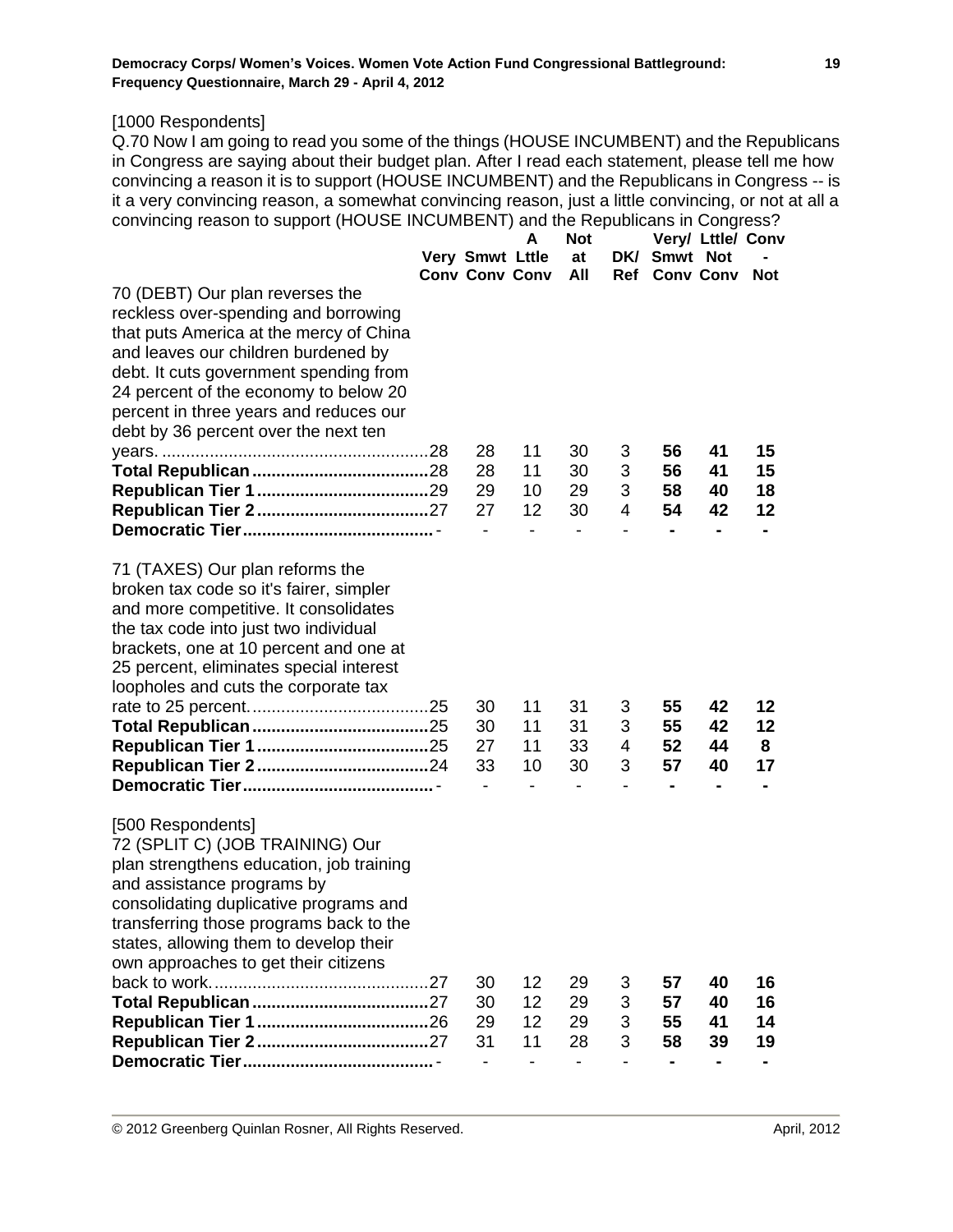[1000 Respondents]

Q.70 Now I am going to read you some of the things (HOUSE INCUMBENT) and the Republicans in Congress are saying about their budget plan. After I read each statement, please tell me how convincing a reason it is to support (HOUSE INCUMBENT) and the Republicans in Congress -- is it a very convincing reason, a somewhat convincing reason, just a little convincing, or not at all a convincing reason to support (HOUSE INCUMBENT) and the Republicans in Congress?

|                                          |                              | A  | <b>Not</b>                   |                |                | Very/ Lttle/ Conv |            |
|------------------------------------------|------------------------------|----|------------------------------|----------------|----------------|-------------------|------------|
|                                          | Very Smwt Lttle              |    | at                           |                | DK/ Smwt Not   |                   |            |
|                                          | <b>Conv Conv Conv</b>        |    | All                          |                | Ref Conv Conv  |                   | <b>Not</b> |
| 70 (DEBT) Our plan reverses the          |                              |    |                              |                |                |                   |            |
| reckless over-spending and borrowing     |                              |    |                              |                |                |                   |            |
| that puts America at the mercy of China  |                              |    |                              |                |                |                   |            |
| and leaves our children burdened by      |                              |    |                              |                |                |                   |            |
| debt. It cuts government spending from   |                              |    |                              |                |                |                   |            |
| 24 percent of the economy to below 20    |                              |    |                              |                |                |                   |            |
| percent in three years and reduces our   |                              |    |                              |                |                |                   |            |
| debt by 36 percent over the next ten     |                              |    |                              |                |                |                   |            |
|                                          | 28                           | 11 | 30                           | 3              | 56             | 41                | 15         |
|                                          | 28                           | 11 | 30                           | 3              | 56             | 41                | 15         |
|                                          | 29                           | 10 | 29                           | 3              | 58             | 40                | 18         |
|                                          | 27                           | 12 | 30                           | 4              | 54             | 42                | 12         |
|                                          |                              |    |                              |                |                | -                 |            |
| 71 (TAXES) Our plan reforms the          |                              |    |                              |                |                |                   |            |
| broken tax code so it's fairer, simpler  |                              |    |                              |                |                |                   |            |
| and more competitive. It consolidates    |                              |    |                              |                |                |                   |            |
| the tax code into just two individual    |                              |    |                              |                |                |                   |            |
| brackets, one at 10 percent and one at   |                              |    |                              |                |                |                   |            |
| 25 percent, eliminates special interest  |                              |    |                              |                |                |                   |            |
| loopholes and cuts the corporate tax     |                              |    |                              |                |                |                   |            |
|                                          | 30                           | 11 | 31                           | 3              | 55             | 42                | 12         |
|                                          | 30                           | 11 | 31                           | 3              | 55             | 42                | 12         |
|                                          | 27                           | 11 | 33                           | $\overline{4}$ | 52             | 44                | 8          |
|                                          | 33                           | 10 | 30                           | 3              | 57             | 40                | 17         |
|                                          |                              |    |                              |                |                |                   |            |
| [500 Respondents]                        |                              |    |                              |                |                |                   |            |
| 72 (SPLIT C) (JOB TRAINING) Our          |                              |    |                              |                |                |                   |            |
| plan strengthens education, job training |                              |    |                              |                |                |                   |            |
| and assistance programs by               |                              |    |                              |                |                |                   |            |
| consolidating duplicative programs and   |                              |    |                              |                |                |                   |            |
| transferring those programs back to the  |                              |    |                              |                |                |                   |            |
| states, allowing them to develop their   |                              |    |                              |                |                |                   |            |
| own approaches to get their citizens     |                              |    |                              |                |                |                   |            |
|                                          | 30                           | 12 | 29                           | 3              | 57             | 40                | 16         |
|                                          | 30                           | 12 | 29                           | 3              | 57             | 40                | 16         |
|                                          | 29                           | 12 | 29                           | 3              | 55             | 41                | 14         |
|                                          | 31                           | 11 | 28                           | 3              | 58             | 39                | 19         |
|                                          | $\qquad \qquad \blacksquare$ |    | $\qquad \qquad \blacksquare$ |                | $\blacksquare$ | -                 |            |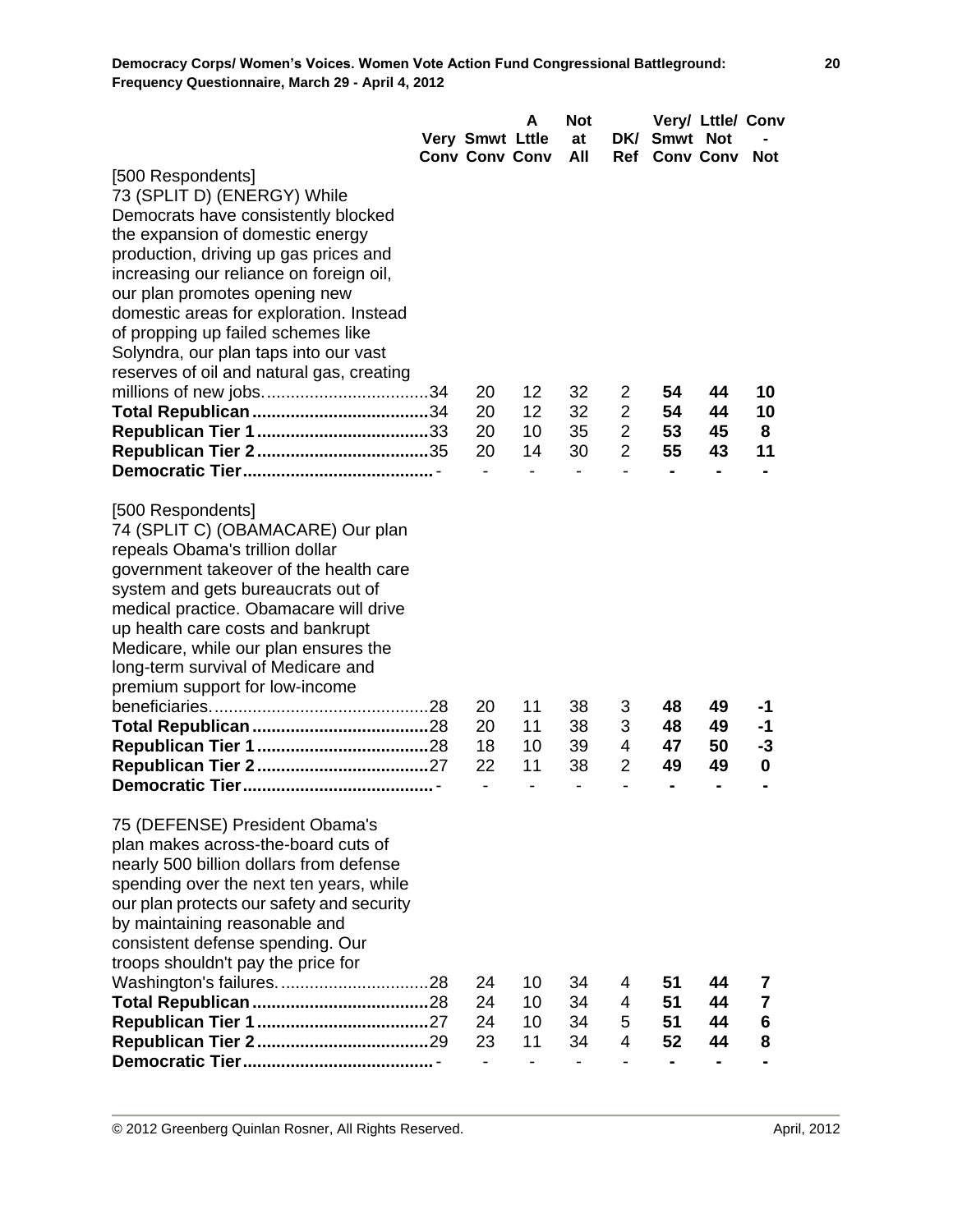|                                           | Very Smwt Lttle<br><b>Conv Conv Conv</b> | A  | <b>Not</b><br>at<br>All |                | DK/ Smwt Not<br>Ref Conv Conv | Very/ Lttle/ Conv | <b>Not</b>              |
|-------------------------------------------|------------------------------------------|----|-------------------------|----------------|-------------------------------|-------------------|-------------------------|
| [500 Respondents]                         |                                          |    |                         |                |                               |                   |                         |
| 73 (SPLIT D) (ENERGY) While               |                                          |    |                         |                |                               |                   |                         |
| Democrats have consistently blocked       |                                          |    |                         |                |                               |                   |                         |
| the expansion of domestic energy          |                                          |    |                         |                |                               |                   |                         |
| production, driving up gas prices and     |                                          |    |                         |                |                               |                   |                         |
| increasing our reliance on foreign oil,   |                                          |    |                         |                |                               |                   |                         |
| our plan promotes opening new             |                                          |    |                         |                |                               |                   |                         |
| domestic areas for exploration. Instead   |                                          |    |                         |                |                               |                   |                         |
| of propping up failed schemes like        |                                          |    |                         |                |                               |                   |                         |
| Solyndra, our plan taps into our vast     |                                          |    |                         |                |                               |                   |                         |
| reserves of oil and natural gas, creating |                                          |    |                         |                |                               |                   |                         |
|                                           | 20                                       | 12 | 32                      | 2              | 54                            | 44                | 10                      |
|                                           | 20                                       | 12 | 32                      | $\overline{2}$ | 54                            | 44                | 10                      |
|                                           | 20                                       | 10 | 35                      | $\overline{2}$ | 53                            | 45                | 8                       |
|                                           | 20                                       | 14 | 30                      | $\overline{2}$ | 55                            | 43                | 11                      |
|                                           | $\overline{\phantom{a}}$                 |    |                         | $\blacksquare$ | $\blacksquare$                | $\blacksquare$    | $\blacksquare$          |
| [500 Respondents]                         |                                          |    |                         |                |                               |                   |                         |
| 74 (SPLIT C) (OBAMACARE) Our plan         |                                          |    |                         |                |                               |                   |                         |
| repeals Obama's trillion dollar           |                                          |    |                         |                |                               |                   |                         |
| government takeover of the health care    |                                          |    |                         |                |                               |                   |                         |
| system and gets bureaucrats out of        |                                          |    |                         |                |                               |                   |                         |
| medical practice. Obamacare will drive    |                                          |    |                         |                |                               |                   |                         |
| up health care costs and bankrupt         |                                          |    |                         |                |                               |                   |                         |
| Medicare, while our plan ensures the      |                                          |    |                         |                |                               |                   |                         |
| long-term survival of Medicare and        |                                          |    |                         |                |                               |                   |                         |
| premium support for low-income            |                                          |    |                         |                |                               |                   |                         |
|                                           | 20                                       | 11 | 38                      | 3              | 48                            | 49                | -1                      |
|                                           | 20                                       | 11 | 38                      | 3              | 48                            | 49                | -1                      |
|                                           | 18                                       | 10 | 39                      | 4              | 47                            | 50                | -3                      |
|                                           | 22                                       | 11 | 38                      | $\overline{2}$ | 49                            | 49                | 0                       |
|                                           |                                          |    |                         |                |                               |                   |                         |
| 75 (DEFENSE) President Obama's            |                                          |    |                         |                |                               |                   |                         |
| plan makes across-the-board cuts of       |                                          |    |                         |                |                               |                   |                         |
| nearly 500 billion dollars from defense   |                                          |    |                         |                |                               |                   |                         |
| spending over the next ten years, while   |                                          |    |                         |                |                               |                   |                         |
| our plan protects our safety and security |                                          |    |                         |                |                               |                   |                         |
| by maintaining reasonable and             |                                          |    |                         |                |                               |                   |                         |
| consistent defense spending. Our          |                                          |    |                         |                |                               |                   |                         |
| troops shouldn't pay the price for        |                                          |    |                         |                |                               |                   |                         |
|                                           | 24                                       | 10 | 34                      | 4              | 51                            | 44                | 7                       |
|                                           | 24                                       | 10 | 34                      | $\overline{4}$ | 51                            | 44                | $\overline{\mathbf{r}}$ |
|                                           | 24                                       | 10 | 34                      | 5              | 51                            | 44                | 6                       |
|                                           | 23                                       | 11 | 34                      | 4              | 52                            | 44                | 8                       |
|                                           | $\overline{\phantom{0}}$                 |    |                         | $\overline{a}$ | -                             | $\blacksquare$    |                         |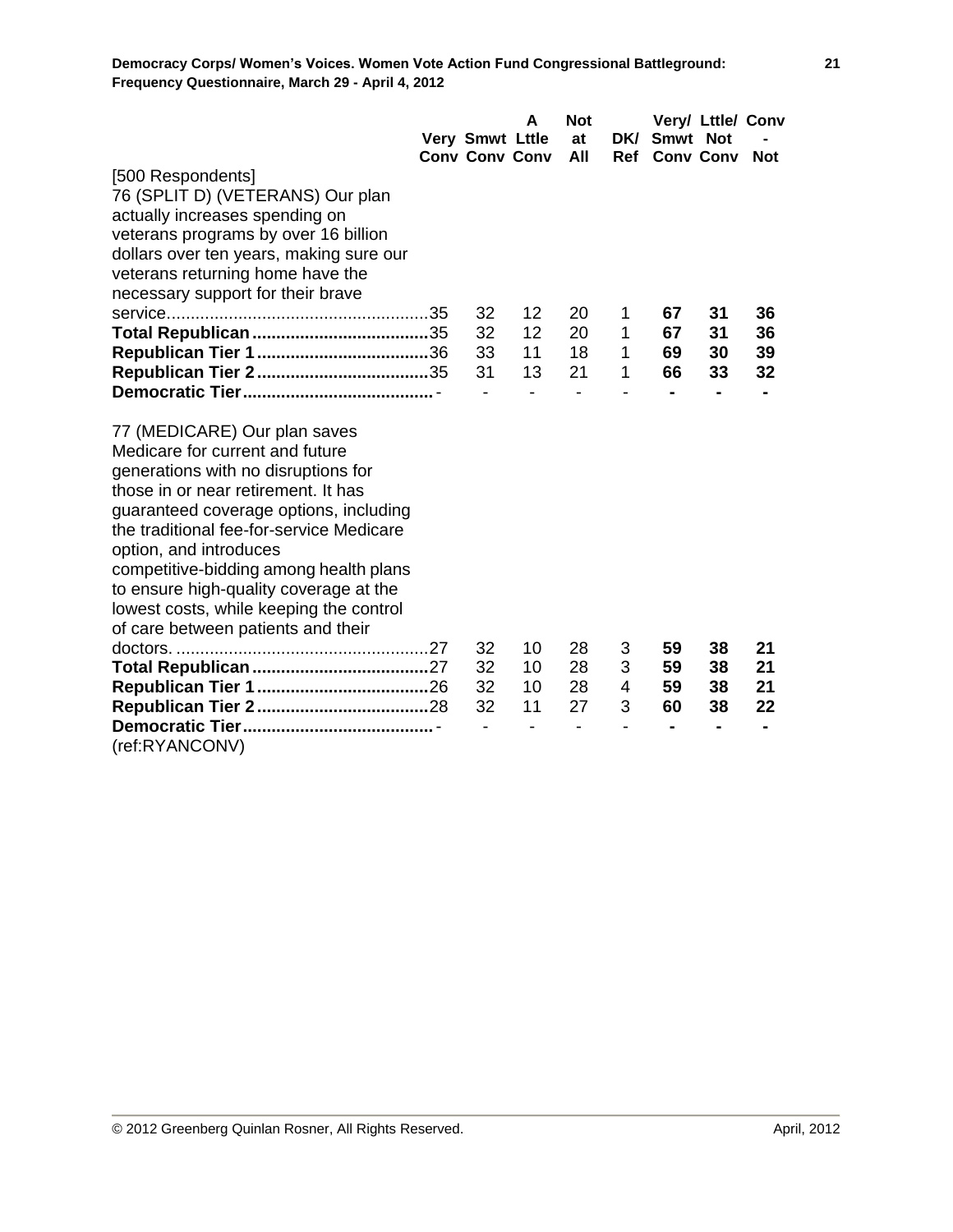|                                                                 | Very Smwt Lttle<br><b>Conv Conv Conv</b> | A  | <b>Not</b><br>at<br>All | DK/ | Smwt Not<br><b>Ref</b> Conv Conv | Very/ Lttle/ Conv | <b>Not</b> |
|-----------------------------------------------------------------|------------------------------------------|----|-------------------------|-----|----------------------------------|-------------------|------------|
| [500 Respondents]<br>76 (SPLIT D) (VETERANS) Our plan           |                                          |    |                         |     |                                  |                   |            |
| actually increases spending on                                  |                                          |    |                         |     |                                  |                   |            |
| veterans programs by over 16 billion                            |                                          |    |                         |     |                                  |                   |            |
| dollars over ten years, making sure our                         |                                          |    |                         |     |                                  |                   |            |
| veterans returning home have the                                |                                          |    |                         |     |                                  |                   |            |
| necessary support for their brave                               |                                          |    |                         |     |                                  |                   |            |
|                                                                 | 32                                       | 12 | 20                      | 1   | 67                               | 31                | 36         |
|                                                                 | 32                                       | 12 | 20                      | 1   | 67                               | 31                | 36         |
|                                                                 | 33                                       | 11 | 18                      | 1   | 69                               | 30                | 39         |
|                                                                 | 31                                       | 13 | 21                      | 1   | 66                               | 33                | 32         |
|                                                                 |                                          |    |                         |     | ۰                                | $\blacksquare$    |            |
| 77 (MEDICARE) Our plan saves<br>Medicare for current and future |                                          |    |                         |     |                                  |                   |            |
| generations with no disruptions for                             |                                          |    |                         |     |                                  |                   |            |
| those in or near retirement. It has                             |                                          |    |                         |     |                                  |                   |            |
| guaranteed coverage options, including                          |                                          |    |                         |     |                                  |                   |            |
| the traditional fee-for-service Medicare                        |                                          |    |                         |     |                                  |                   |            |
| option, and introduces                                          |                                          |    |                         |     |                                  |                   |            |
| competitive-bidding among health plans                          |                                          |    |                         |     |                                  |                   |            |
| to ensure high-quality coverage at the                          |                                          |    |                         |     |                                  |                   |            |
| lowest costs, while keeping the control                         |                                          |    |                         |     |                                  |                   |            |
| of care between patients and their                              |                                          |    |                         |     |                                  |                   |            |
|                                                                 | 32                                       | 10 | 28                      | 3   | 59                               | 38                | 21         |
|                                                                 | 32                                       | 10 | 28                      | 3   | 59                               | 38                | 21         |
|                                                                 | 32                                       | 10 | 28                      | 4   | 59                               | 38                | 21         |
|                                                                 | 32                                       | 11 | 27                      | 3   | 60                               | 38                | 22         |
|                                                                 |                                          |    |                         |     |                                  |                   |            |
| (ref:RYANCONV)                                                  |                                          |    |                         |     |                                  |                   |            |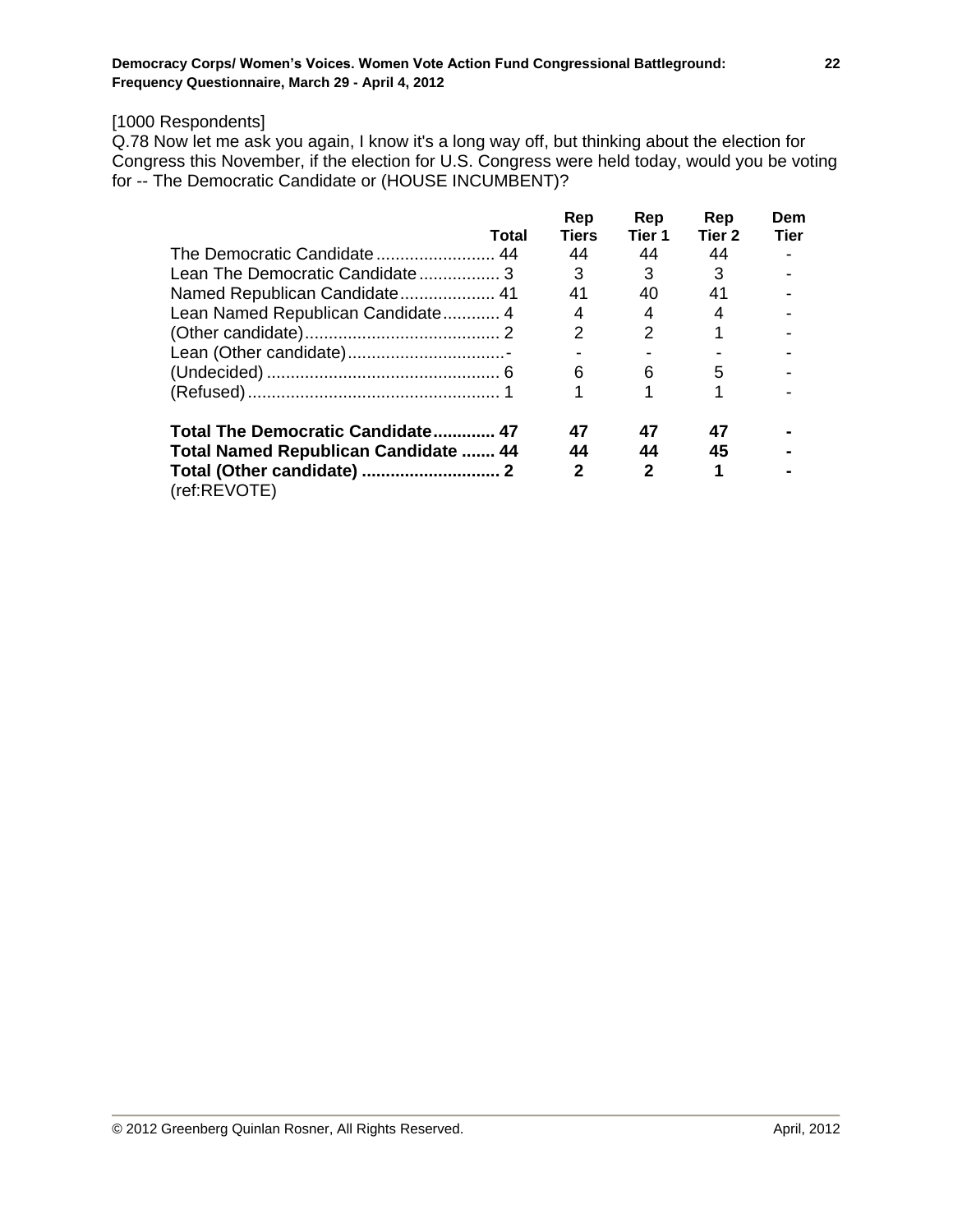# [1000 Respondents]

Q.78 Now let me ask you again, I know it's a long way off, but thinking about the election for Congress this November, if the election for U.S. Congress were held today, would you be voting for -- The Democratic Candidate or (HOUSE INCUMBENT)?

|                                             |       | Rep          | Rep           | Rep               | Dem         |
|---------------------------------------------|-------|--------------|---------------|-------------------|-------------|
|                                             | Total | <b>Tiers</b> | Tier 1        | Tier <sub>2</sub> | <b>Tier</b> |
|                                             |       | 44           | 44            | 44                |             |
| Lean The Democratic Candidate3              |       | 3            | 3             | 3                 |             |
| Named Republican Candidate 41               |       | 41           | 40            | 41                |             |
| Lean Named Republican Candidate 4           |       | 4            | 4             |                   |             |
|                                             |       |              | $\mathcal{P}$ |                   |             |
|                                             |       |              |               |                   |             |
|                                             |       | 6            | 6             | 5                 |             |
|                                             |       |              |               |                   |             |
| Total The Democratic Candidate 47           |       | 47           | 47            | 47                |             |
| <b>Total Named Republican Candidate  44</b> |       | 44           | 44            | 45                |             |
| (ref:REVOTE)                                |       | 2            | 2             |                   |             |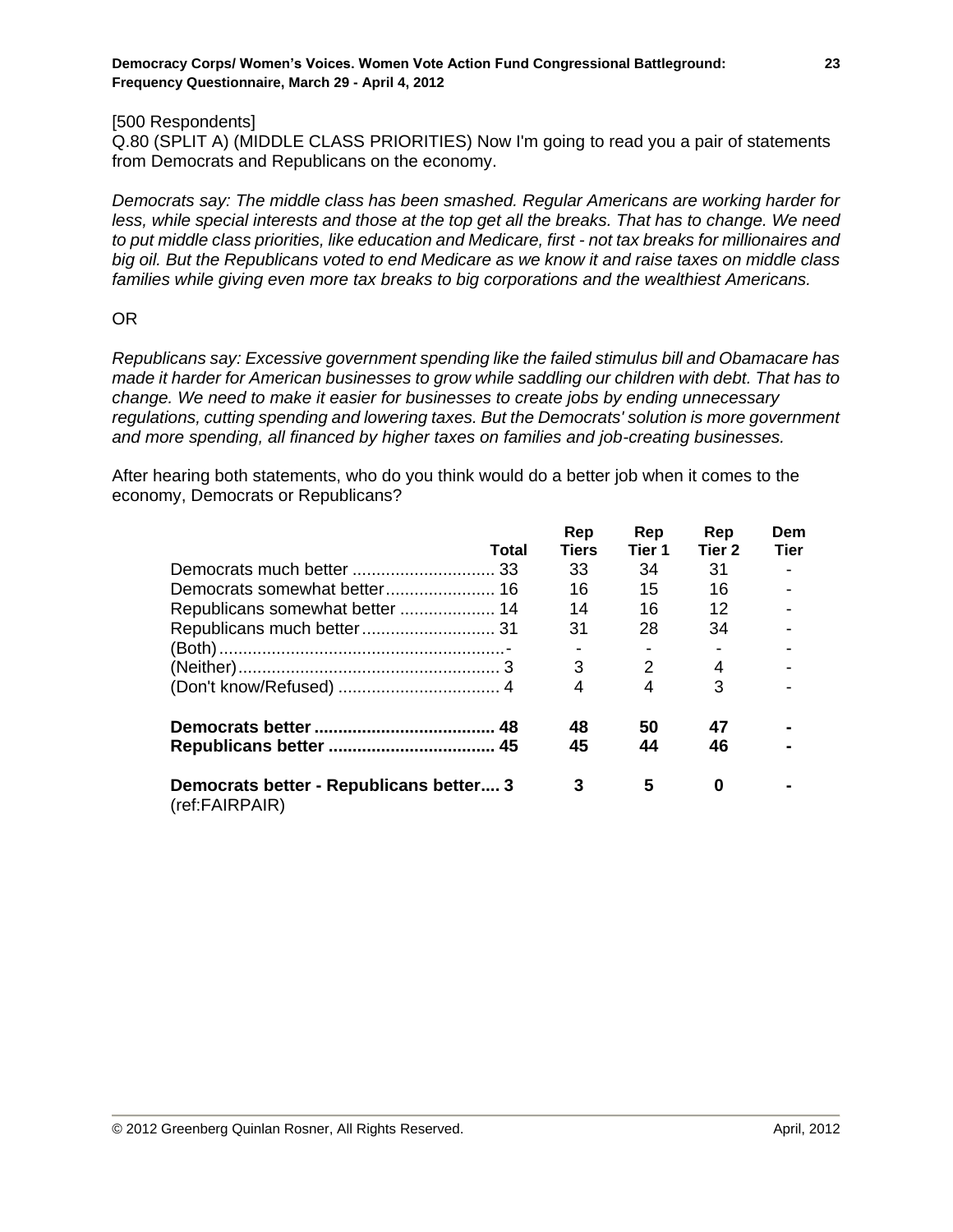#### [500 Respondents]

Q.80 (SPLIT A) (MIDDLE CLASS PRIORITIES) Now I'm going to read you a pair of statements from Democrats and Republicans on the economy.

*Democrats say: The middle class has been smashed. Regular Americans are working harder for less, while special interests and those at the top get all the breaks. That has to change. We need to put middle class priorities, like education and Medicare, first - not tax breaks for millionaires and big oil. But the Republicans voted to end Medicare as we know it and raise taxes on middle class families while giving even more tax breaks to big corporations and the wealthiest Americans.*

#### OR

*Republicans say: Excessive government spending like the failed stimulus bill and Obamacare has made it harder for American businesses to grow while saddling our children with debt. That has to change. We need to make it easier for businesses to create jobs by ending unnecessary regulations, cutting spending and lowering taxes. But the Democrats' solution is more government and more spending, all financed by higher taxes on families and job-creating businesses.*

After hearing both statements, who do you think would do a better job when it comes to the economy, Democrats or Republicans?

|                                                           | Total | Rep<br><b>Tiers</b> | Rep<br>Tier 1 | Rep<br>Tier <sub>2</sub> | Dem<br><b>Tier</b> |
|-----------------------------------------------------------|-------|---------------------|---------------|--------------------------|--------------------|
|                                                           |       | 33                  | 34            | 31                       |                    |
|                                                           |       |                     |               |                          |                    |
|                                                           |       | 16                  | 15            | 16                       |                    |
|                                                           |       | 14                  | 16            | 12                       |                    |
|                                                           |       | 31                  | 28            | 34                       |                    |
|                                                           |       |                     |               |                          |                    |
|                                                           |       | 3                   | 2             | 4                        |                    |
|                                                           |       | 4                   | 4             | 3                        |                    |
|                                                           |       | 48                  | 50            | 47                       |                    |
|                                                           |       | 45                  | 44            | 46                       |                    |
| Democrats better - Republicans better 3<br>(ref:FAIRPAIR) |       | 3                   | 5             | 0                        |                    |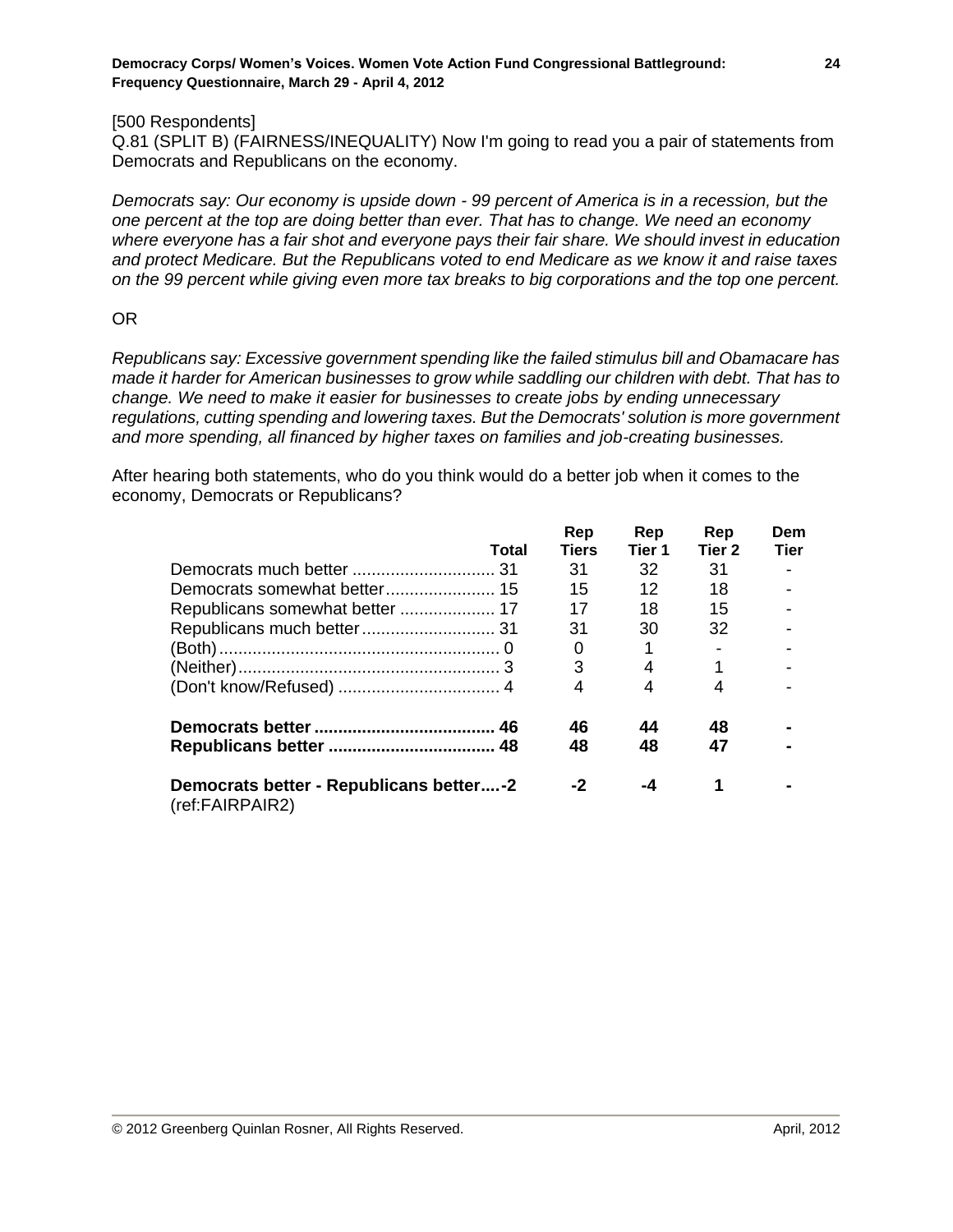#### [500 Respondents]

Q.81 (SPLIT B) (FAIRNESS/INEQUALITY) Now I'm going to read you a pair of statements from Democrats and Republicans on the economy.

*Democrats say: Our economy is upside down - 99 percent of America is in a recession, but the one percent at the top are doing better than ever. That has to change. We need an economy where everyone has a fair shot and everyone pays their fair share. We should invest in education and protect Medicare. But the Republicans voted to end Medicare as we know it and raise taxes on the 99 percent while giving even more tax breaks to big corporations and the top one percent.*

#### OR

*Republicans say: Excessive government spending like the failed stimulus bill and Obamacare has made it harder for American businesses to grow while saddling our children with debt. That has to change. We need to make it easier for businesses to create jobs by ending unnecessary regulations, cutting spending and lowering taxes. But the Democrats' solution is more government and more spending, all financed by higher taxes on families and job-creating businesses.*

After hearing both statements, who do you think would do a better job when it comes to the economy, Democrats or Republicans?

|                                                            |       | Rep<br><b>Tiers</b> | Rep<br>Tier 1 | Rep<br>Tier 2 | Dem         |
|------------------------------------------------------------|-------|---------------------|---------------|---------------|-------------|
|                                                            | Total |                     |               |               | <b>Tier</b> |
|                                                            |       | 31                  | 32            | 31            |             |
|                                                            |       | 15                  | 12            | 18            |             |
|                                                            |       | 17                  | 18            | 15            |             |
| Republicans much better 31                                 |       | 31                  | 30            | 32            |             |
|                                                            |       | 0                   |               |               |             |
|                                                            |       | 3                   | 4             | 1             |             |
|                                                            |       | 4                   | 4             | 4             |             |
|                                                            |       | 46                  | 44            | 48            |             |
|                                                            |       | 48                  | 48            | 47            |             |
| Democrats better - Republicans better-2<br>(ref:FAIRPAIR2) |       | -2                  | -4            |               |             |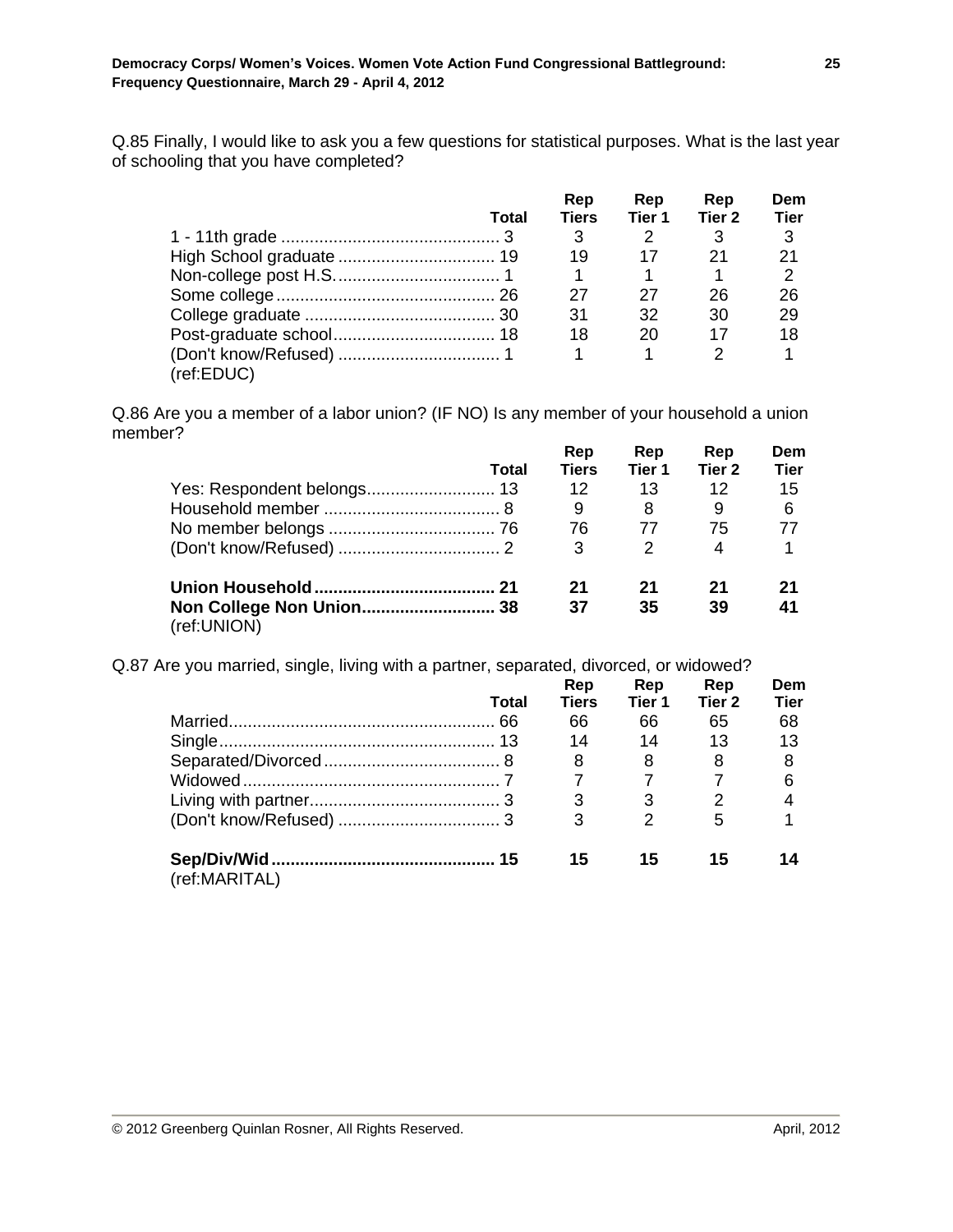Q.85 Finally, I would like to ask you a few questions for statistical purposes. What is the last year of schooling that you have completed?

|            |       | Rep   | Rep    | Rep    | Dem         |
|------------|-------|-------|--------|--------|-------------|
|            | Total | Tiers | Tier 1 | Tier 2 | <b>Tier</b> |
|            |       | 3     |        | 3      | 3           |
|            |       | 19    | 17     | 21     | 21          |
|            |       |       |        |        |             |
|            |       | 27    | 27     | 26     | 26          |
|            |       | 31    | 32     | 30     | 29          |
|            |       | 18    | 20     | 17     | 18          |
|            |       |       |        | 2      |             |
| (ref:EDUC) |       |       |        |        |             |

Q.86 Are you a member of a labor union? (IF NO) Is any member of your household a union member?

|             | <b>Total</b> | Rep<br><b>Tiers</b> | Rep<br>Tier 1 | Rep<br>Tier <sub>2</sub> | Dem<br><b>Tier</b> |
|-------------|--------------|---------------------|---------------|--------------------------|--------------------|
|             |              | 12                  | 13            | 12                       | 15                 |
|             |              | 9                   | 8             | 9                        | 6                  |
|             |              | 76                  | 77            | 75                       | 77                 |
|             |              | 3                   | $\mathcal{P}$ | 4                        | 1                  |
|             |              | 21                  | 21            | 21                       | 21                 |
| (ref:UNION) |              | 37                  | 35            | 39                       | 41                 |

Q.87 Are you married, single, living with a partner, separated, divorced, or widowed?

|               |              | Rep   | Rep            | Rep               | Dem         |
|---------------|--------------|-------|----------------|-------------------|-------------|
|               | <b>Total</b> | Tiers | Tier 1         | Tier <sub>2</sub> | <b>Tier</b> |
|               |              | 66    | 66             | 65                | 68          |
|               |              | 14    | 14             | 13                | 13          |
|               |              | 8     | 8              | 8                 | 8           |
|               |              |       |                |                   | 6           |
|               |              | 3     | 3              |                   |             |
|               |              | 3     | $\mathfrak{D}$ | 5                 |             |
|               |              | 15    | 15             | 15                |             |
| (ref:MARITAL) |              |       |                |                   |             |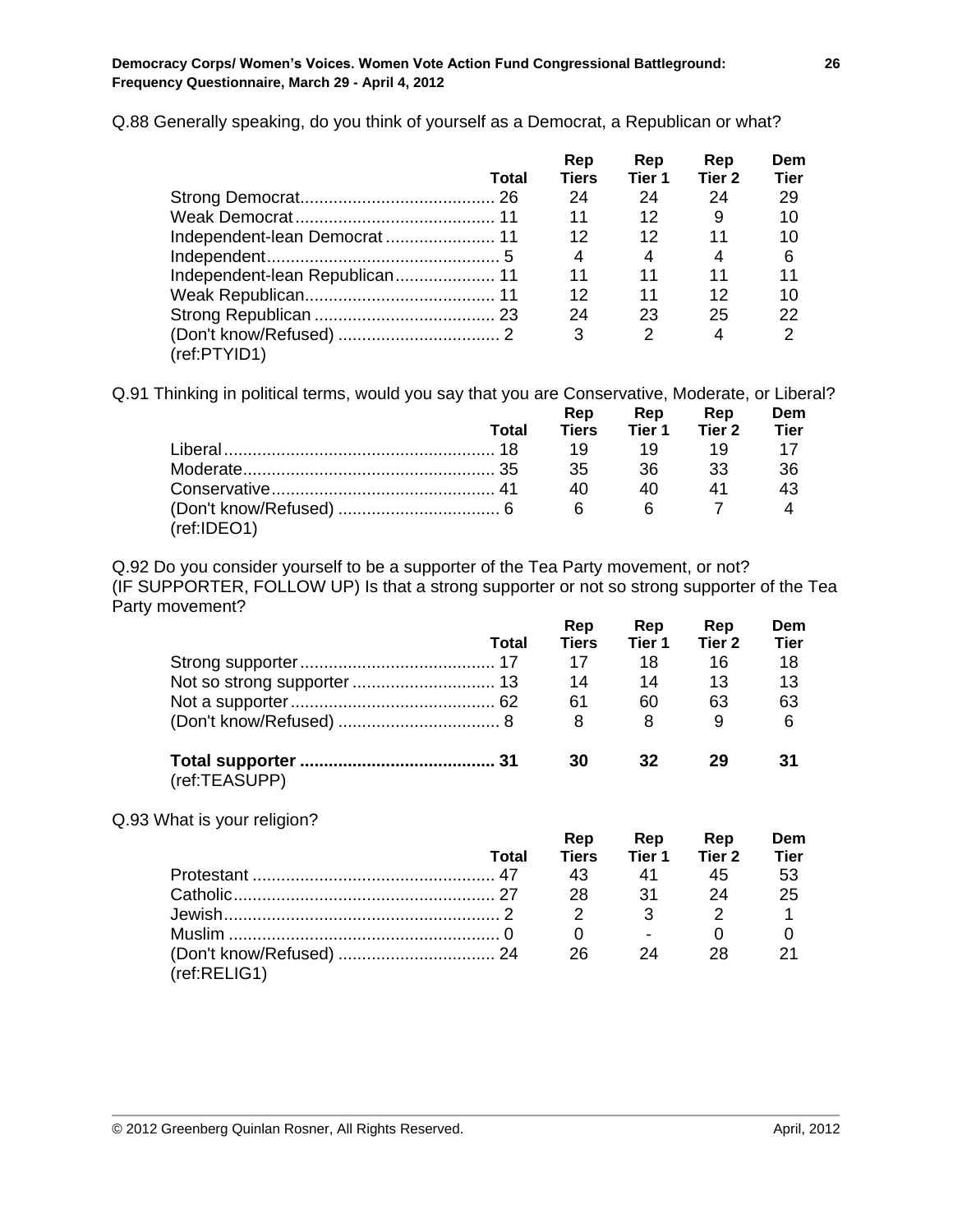Q.88 Generally speaking, do you think of yourself as a Democrat, a Republican or what?

|                               |       | Rep          | Rep           | Rep    | Dem         |
|-------------------------------|-------|--------------|---------------|--------|-------------|
|                               | Total | <b>Tiers</b> | Tier 1        | Tier 2 | <b>Tier</b> |
|                               |       | 24           | 24            | 24     | 29          |
|                               |       | 11           | 12            | 9      | 10          |
| Independent-lean Democrat  11 |       | 12           | 12            | 11     | 10          |
|                               |       | 4            | 4             | 4      | 6           |
|                               |       | 11           | 11            | 11     | 11          |
|                               |       | 12           | 11            | 12     | 10          |
|                               |       | 24           | 23            | 25     | 22          |
|                               |       | 3            | $\mathcal{P}$ | 4      |             |
| (ref:PTYID1)                  |       |              |               |        |             |

Q.91 Thinking in political terms, would you say that you are Conservative, Moderate, or Liberal?

|             |       | Rep          | Rep            | Rep    | Dem  |  |
|-------------|-------|--------------|----------------|--------|------|--|
|             | Total | <b>Tiers</b> | Tier 1         | Tier 2 | Tier |  |
|             |       | 19           | - 19           |        |      |  |
|             |       | 35.          | 36.            | 33.    | 36   |  |
|             |       | 40.          | 40 I           |        | 43   |  |
| (ref:IDEO1) |       | <b>6</b>     | 6 <sup>6</sup> |        |      |  |

Q.92 Do you consider yourself to be a supporter of the Tea Party movement, or not? (IF SUPPORTER, FOLLOW UP) Is that a strong supporter or not so strong supporter of the Tea Party movement?

|               | Total | Rep<br><b>Tiers</b> | Rep<br>Tier 1 | Rep<br>Tier 2 | Dem<br><b>Tier</b> |
|---------------|-------|---------------------|---------------|---------------|--------------------|
|               |       | 17                  | 18            | 16            | 18                 |
|               |       | 14                  | 14            | 13            | 13                 |
|               |       | 61                  | 60            | 63            | 63                 |
|               |       | 8                   | 8             | 9             | 6                  |
| (ref:TEASUPP) |       | 30                  | 32            | 29            | 31                 |

Q.93 What is your religion?

|              | Total | Rep          | Rep    | Rep    | Dem         |
|--------------|-------|--------------|--------|--------|-------------|
|              |       | <b>Tiers</b> | Tier 1 | Tier 2 | <b>Tier</b> |
|              |       | 43           | 41     | 45     | -53         |
|              |       | 28.          | .31    | 24     | -25         |
|              |       |              |        |        |             |
|              |       |              |        |        |             |
|              |       | 26.          | 24     | 28     |             |
| (ref:RELIG1) |       |              |        |        |             |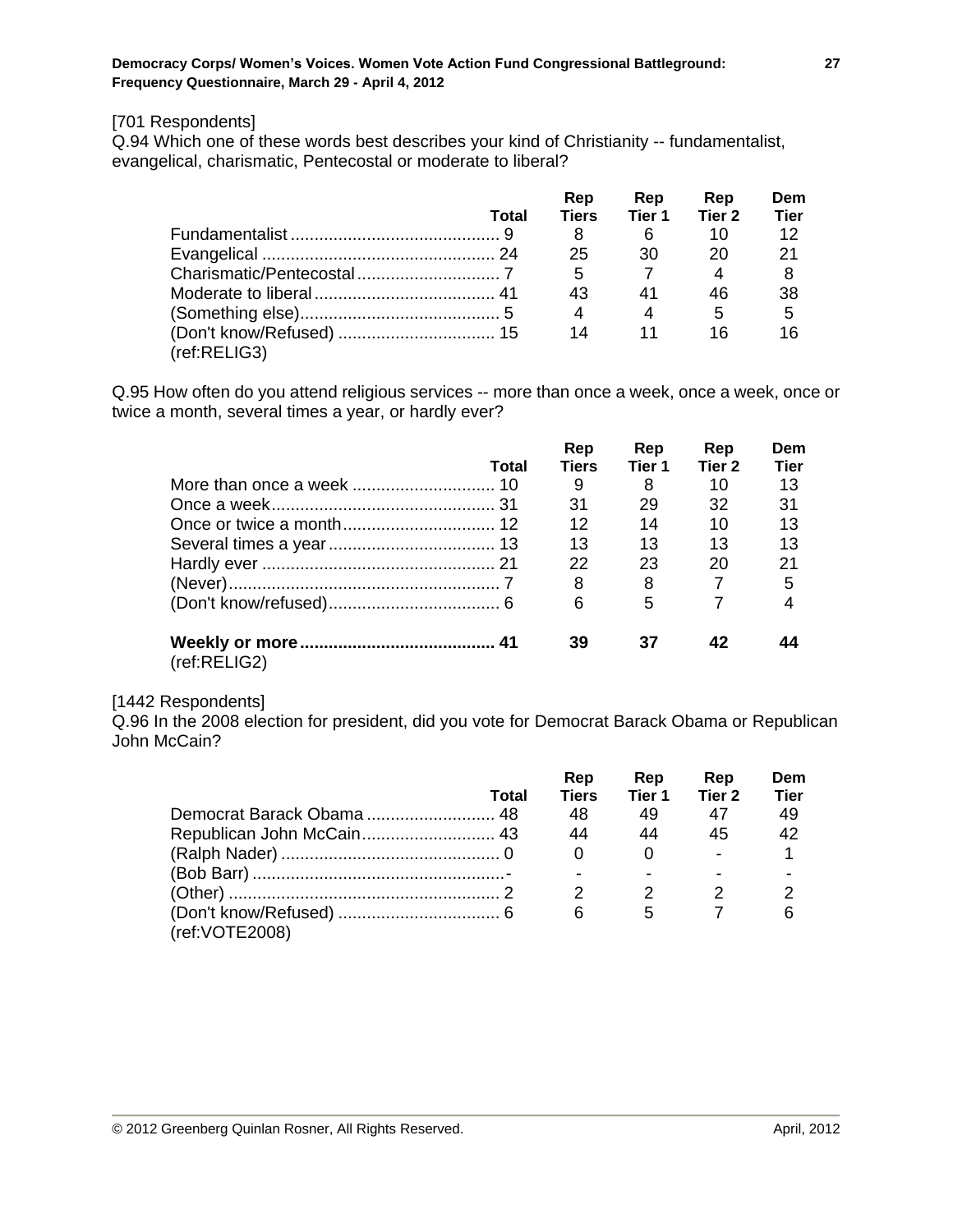#### [701 Respondents]

Q.94 Which one of these words best describes your kind of Christianity -- fundamentalist, evangelical, charismatic, Pentecostal or moderate to liberal?

|              | Total | Rep<br><b>Tiers</b> | Rep<br>Tier 1 | Rep<br>Tier 2 | Dem<br><b>Tier</b> |
|--------------|-------|---------------------|---------------|---------------|--------------------|
|              |       | 8                   | 6             | 10            | 12                 |
|              |       | 25                  | 30            | 20            | 21                 |
|              |       | 5                   |               |               |                    |
|              |       | 43                  | 41            | 46            | -38                |
|              |       | 4                   | 4             | 5             | -5                 |
|              |       | 14                  | 11            | 16            | 16                 |
| (ref:RELIG3) |       |                     |               |               |                    |

Q.95 How often do you attend religious services -- more than once a week, once a week, once or twice a month, several times a year, or hardly ever?

|              |       | Rep          | Rep    | Rep    | Dem         |
|--------------|-------|--------------|--------|--------|-------------|
|              | Total | <b>Tiers</b> | Tier 1 | Tier 2 | <b>Tier</b> |
|              |       | 9            | 8      | 10     | 13          |
|              |       | 31           | 29     | 32     | 31          |
|              |       | 12           | 14     | 10     | 13          |
|              |       | 13           | 13     | 13     | 13          |
|              |       | 22           | 23     | 20     | 21          |
|              |       | 8            | 8      |        | 5           |
|              |       | 6            | 5      |        |             |
| (ref:RELIG2) |       | 39           | 37     | 42     |             |
|              |       |              |        |        |             |

#### [1442 Respondents]

Q.96 In the 2008 election for president, did you vote for Democrat Barack Obama or Republican John McCain?

|                           | Total | Rep<br><b>Tiers</b> | Rep<br>Tier 1 | Rep<br>Tier 2 | Dem<br><b>Tier</b> |
|---------------------------|-------|---------------------|---------------|---------------|--------------------|
|                           |       |                     |               |               |                    |
|                           |       | 48                  | 49            | 47            | 49                 |
| Republican John McCain 43 |       | 44                  | 44            | 45            | 42                 |
|                           |       |                     |               |               |                    |
|                           |       |                     |               |               |                    |
|                           |       |                     | 2             |               |                    |
| (ref: VOTE 2008)          |       | 6                   | 5             |               |                    |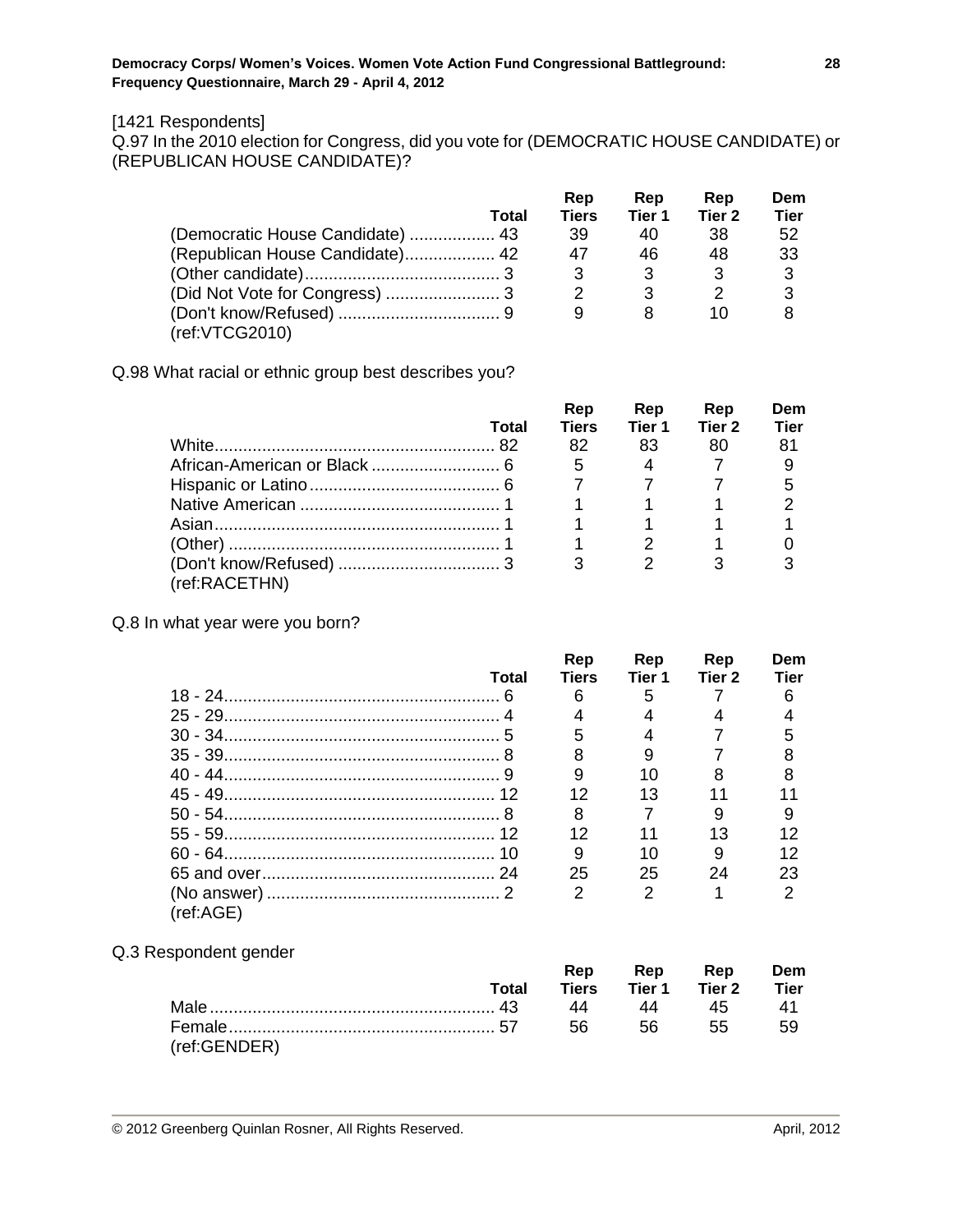#### [1421 Respondents]

Q.97 In the 2010 election for Congress, did you vote for (DEMOCRATIC HOUSE CANDIDATE) or (REPUBLICAN HOUSE CANDIDATE)?

|                                  |       | Rep          | Rep    | Rep    | Dem         |
|----------------------------------|-------|--------------|--------|--------|-------------|
|                                  | Total | <b>Tiers</b> | Tier 1 | Tier 2 | <b>Tier</b> |
| (Democratic House Candidate)  43 |       | 39           | 40     | 38     | 52          |
| (Republican House Candidate) 42  |       | 47           | 46     | 48     | 33          |
|                                  |       |              | 3      | 3      | 3           |
|                                  |       |              |        |        | 3           |
|                                  |       |              |        | 10     | 8           |
| (ref: VTCG2010)                  |       |              |        |        |             |

Q.98 What racial or ethnic group best describes you?

|               |       | Rep          | Rep    | Rep    | Dem         |
|---------------|-------|--------------|--------|--------|-------------|
|               | Total | <b>Tiers</b> | Tier 1 | Tier 2 | <b>Tier</b> |
|               |       | 82           | 83     | 80     | 81          |
|               |       | 5            |        |        |             |
|               |       |              |        |        |             |
|               |       |              |        |        |             |
|               |       |              |        |        |             |
|               |       |              |        |        |             |
| (ref:RACETHN) |       |              |        |        |             |

Q.8 In what year were you born?

|           |       | Rep            | Rep           | Rep    | Dem         |
|-----------|-------|----------------|---------------|--------|-------------|
|           | Total | <b>Tiers</b>   | Tier 1        | Tier 2 | <b>Tier</b> |
|           |       | 6              | 5             |        |             |
|           |       |                |               |        |             |
|           |       |                |               |        |             |
|           |       |                |               |        |             |
|           |       |                | 10            |        |             |
|           |       | 12             | 13            |        |             |
|           |       | 8              |               |        |             |
|           |       | 12             |               | 13     |             |
|           |       | 9              | 10            | 9      |             |
|           |       | 25             | 25            | 24     | 23          |
| (ref:AGE) |       | $\mathfrak{p}$ | $\mathcal{P}$ |        |             |

Q.3 Respondent gender

|              |       | Rep  |                     | Rep Rep | Dem  |
|--------------|-------|------|---------------------|---------|------|
|              | Total |      | Tiers Tier 1 Tier 2 |         | Tier |
|              |       | 44   | 44                  | 45      |      |
|              |       | 56 5 |                     | 55      | 59   |
| (ref:GENDER) |       |      |                     |         |      |